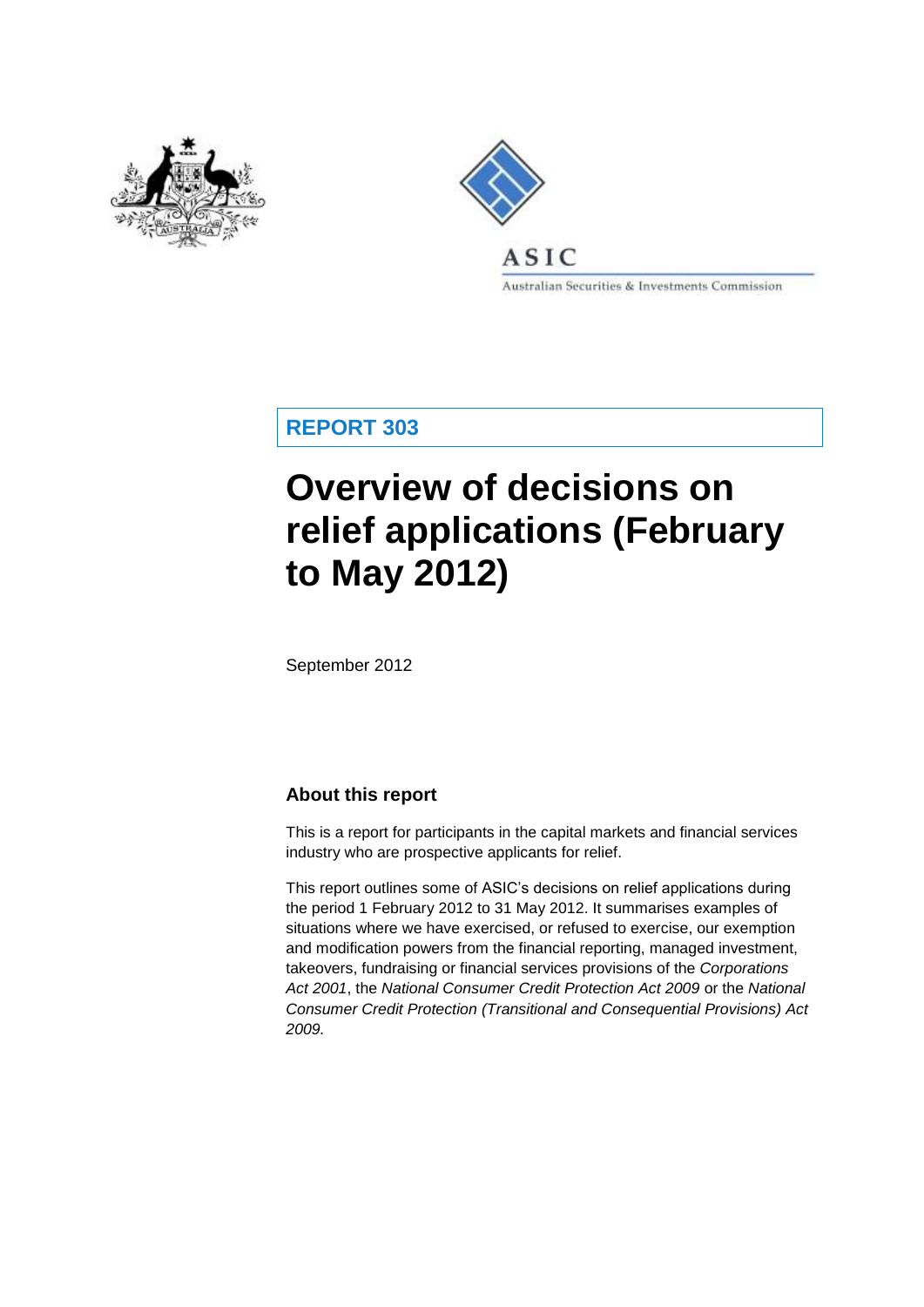



**Australian Securities & Investments Commission** 

**REPORT 303**

# **Overview of decisions on relief applications (February to May 2012)**

September 2012

# **About this report**

This is a report for participants in the capital markets and financial services industry who are prospective applicants for relief.

This report outlines some of ASIC's decisions on relief applications during the period 1 February 2012 to 31 May 2012. It summarises examples of situations where we have exercised, or refused to exercise, our exemption and modification powers from the financial reporting, managed investment, takeovers, fundraising or financial services provisions of the *Corporations Act 2001*, the *National Consumer Credit Protection Act 2009* or the *National Consumer Credit Protection (Transitional and Consequential Provisions) Act 2009.*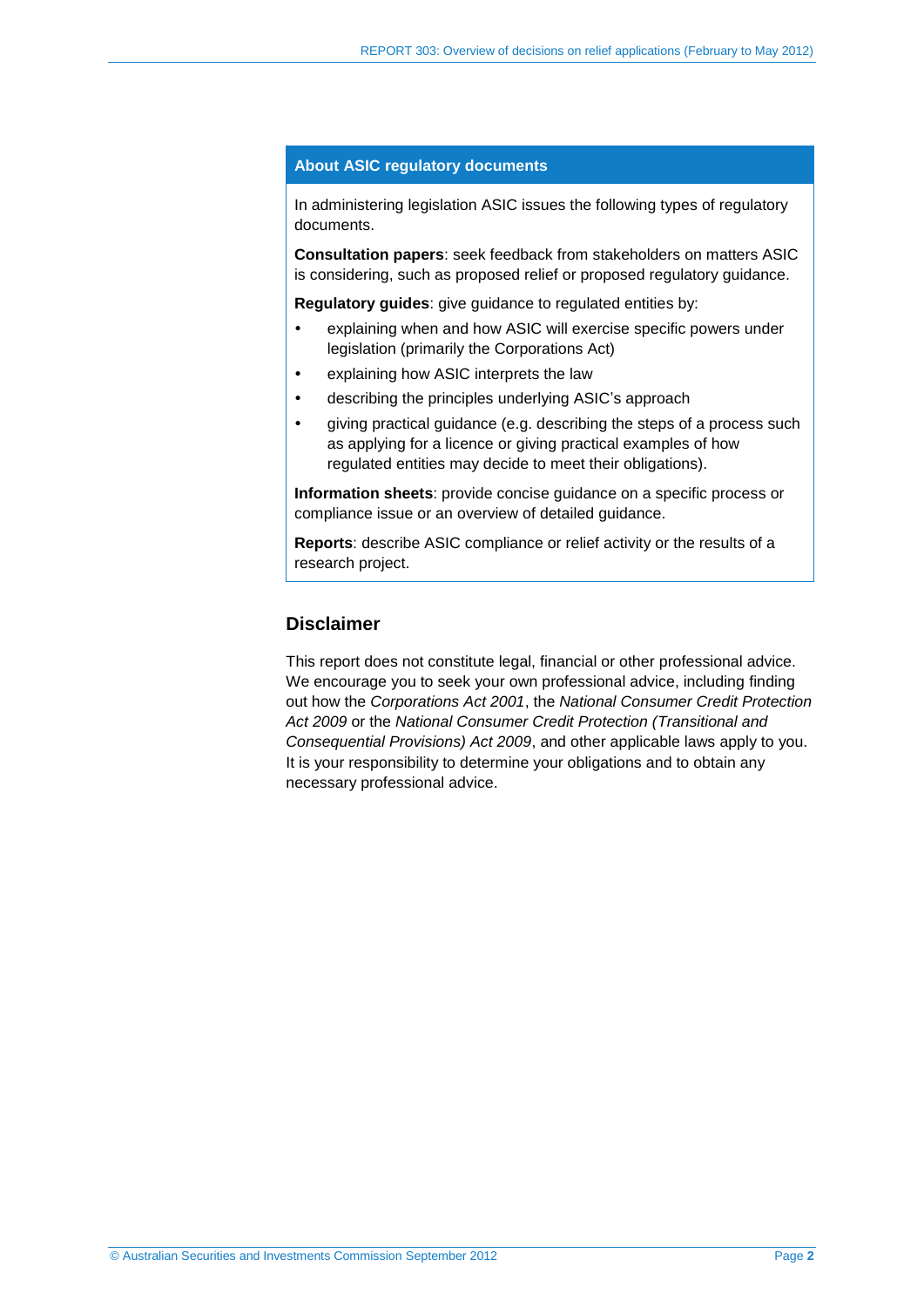### **About ASIC regulatory documents**

In administering legislation ASIC issues the following types of regulatory documents.

**Consultation papers**: seek feedback from stakeholders on matters ASIC is considering, such as proposed relief or proposed regulatory guidance.

**Regulatory guides**: give guidance to regulated entities by:

- explaining when and how ASIC will exercise specific powers under legislation (primarily the Corporations Act)
- explaining how ASIC interprets the law
- describing the principles underlying ASIC's approach
- giving practical guidance (e.g. describing the steps of a process such as applying for a licence or giving practical examples of how regulated entities may decide to meet their obligations).

**Information sheets**: provide concise guidance on a specific process or compliance issue or an overview of detailed guidance.

**Reports**: describe ASIC compliance or relief activity or the results of a research project.

### **Disclaimer**

This report does not constitute legal, financial or other professional advice. We encourage you to seek your own professional advice, including finding out how the *Corporations Act 2001*, the *National Consumer Credit Protection Act 2009* or the *National Consumer Credit Protection (Transitional and Consequential Provisions) Act 2009*, and other applicable laws apply to you. It is your responsibility to determine your obligations and to obtain any necessary professional advice.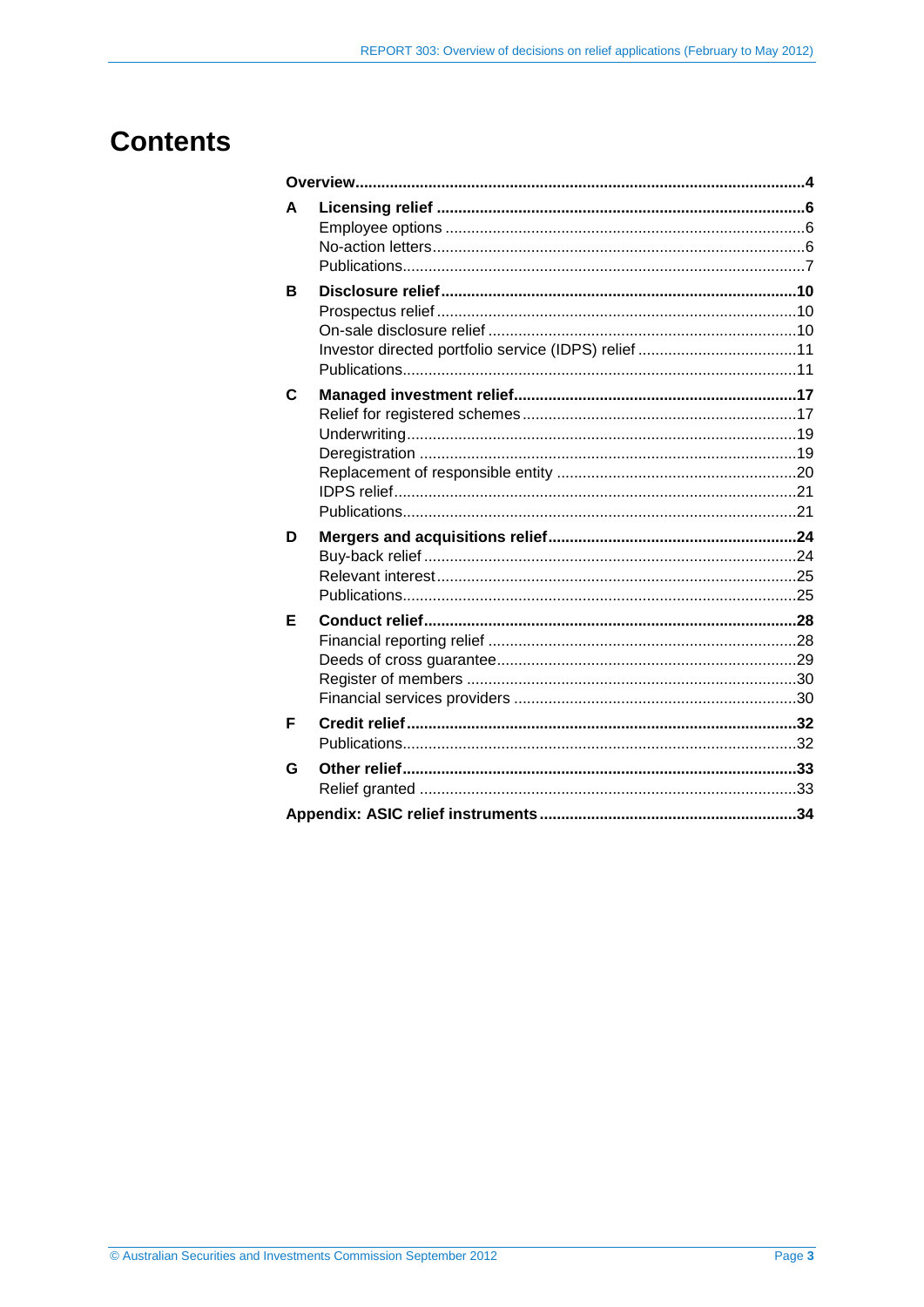# **Contents**

| A |  |  |  |  |  |
|---|--|--|--|--|--|
| в |  |  |  |  |  |
| C |  |  |  |  |  |
| D |  |  |  |  |  |
| Е |  |  |  |  |  |
| F |  |  |  |  |  |
|   |  |  |  |  |  |
| G |  |  |  |  |  |
|   |  |  |  |  |  |
|   |  |  |  |  |  |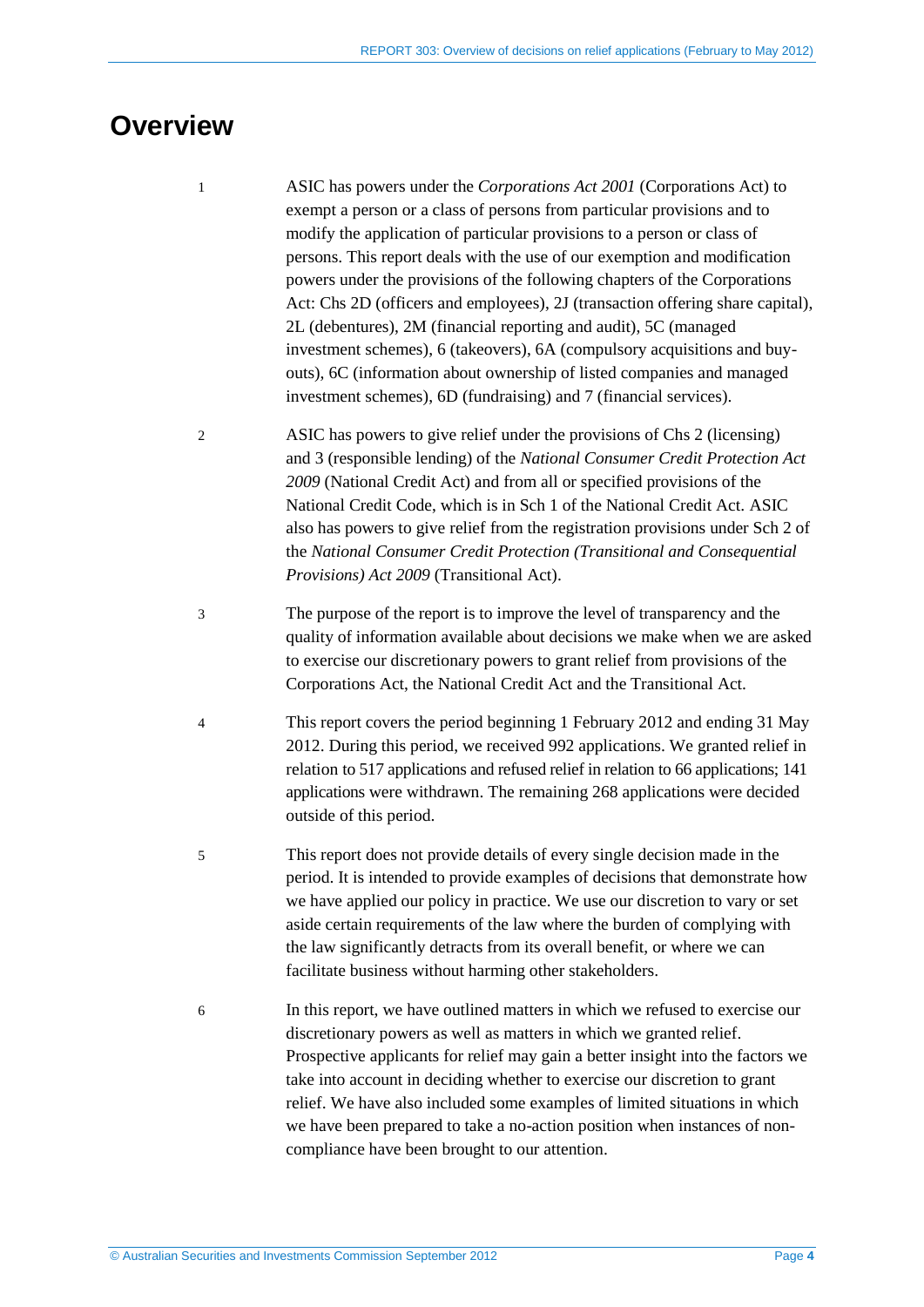# <span id="page-3-0"></span>**Overview**

- 1 ASIC has powers under the *Corporations Act 2001* (Corporations Act) to exempt a person or a class of persons from particular provisions and to modify the application of particular provisions to a person or class of persons. This report deals with the use of our exemption and modification powers under the provisions of the following chapters of the Corporations Act: Chs 2D (officers and employees), 2J (transaction offering share capital), 2L (debentures), 2M (financial reporting and audit), 5C (managed investment schemes), 6 (takeovers), 6A (compulsory acquisitions and buyouts), 6C (information about ownership of listed companies and managed investment schemes), 6D (fundraising) and 7 (financial services).
- 2 ASIC has powers to give relief under the provisions of Chs 2 (licensing) and 3 (responsible lending) of the *National Consumer Credit Protection Act 2009* (National Credit Act) and from all or specified provisions of the National Credit Code, which is in Sch 1 of the National Credit Act. ASIC also has powers to give relief from the registration provisions under Sch 2 of the *National Consumer Credit Protection (Transitional and Consequential Provisions) Act 2009* (Transitional Act).
- 3 The purpose of the report is to improve the level of transparency and the quality of information available about decisions we make when we are asked to exercise our discretionary powers to grant relief from provisions of the Corporations Act, the National Credit Act and the Transitional Act.
- 4 This report covers the period beginning 1 February 2012 and ending 31 May 2012. During this period, we received 992 applications. We granted relief in relation to 517 applications and refused relief in relation to 66 applications; 141 applications were withdrawn. The remaining 268 applications were decided outside of this period.
- 5 This report does not provide details of every single decision made in the period. It is intended to provide examples of decisions that demonstrate how we have applied our policy in practice. We use our discretion to vary or set aside certain requirements of the law where the burden of complying with the law significantly detracts from its overall benefit, or where we can facilitate business without harming other stakeholders.
- 6 In this report, we have outlined matters in which we refused to exercise our discretionary powers as well as matters in which we granted relief. Prospective applicants for relief may gain a better insight into the factors we take into account in deciding whether to exercise our discretion to grant relief. We have also included some examples of limited situations in which we have been prepared to take a no-action position when instances of noncompliance have been brought to our attention.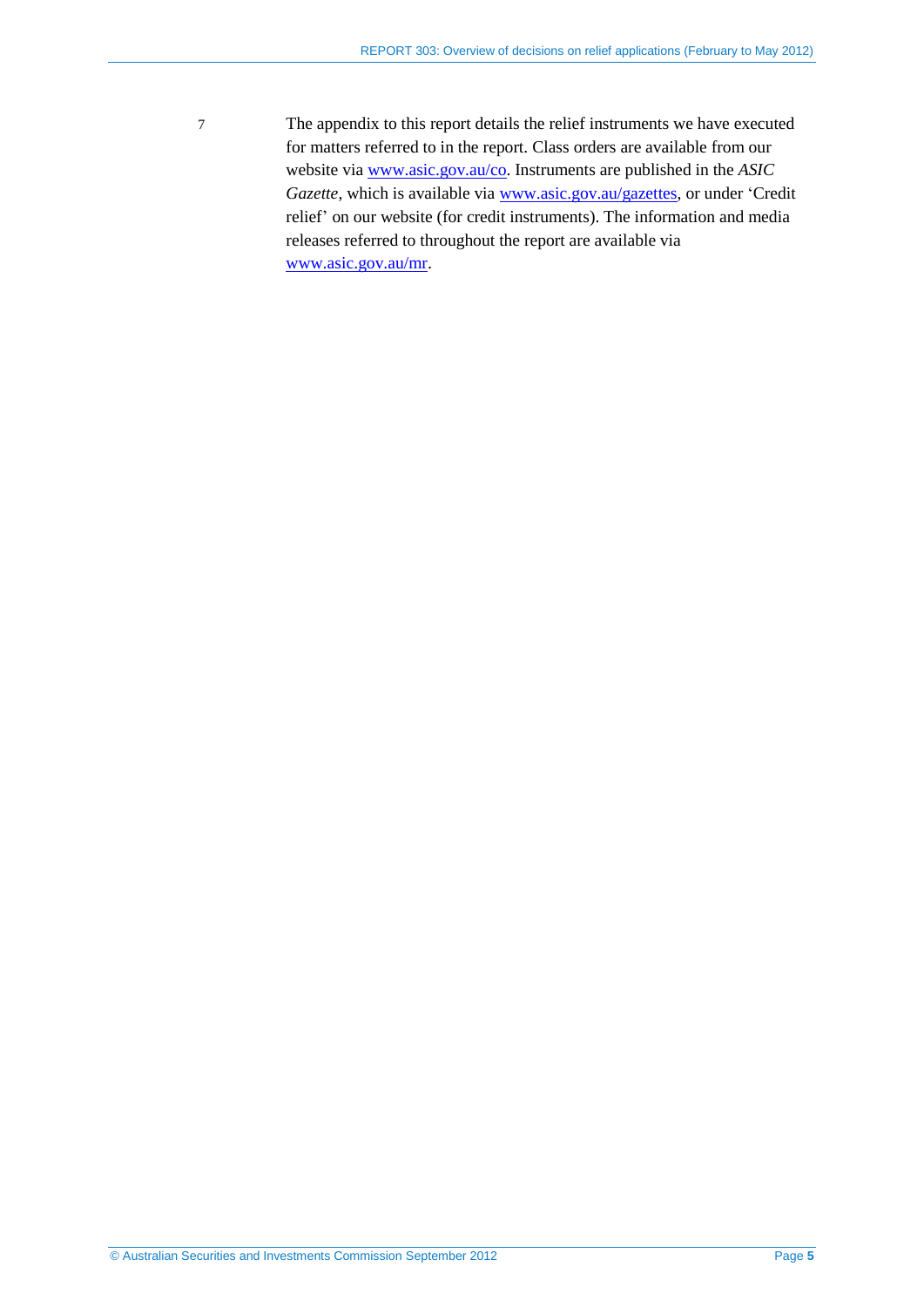7 The appendix to this report details the relief instruments we have executed for matters referred to in the report. Class orders are available from our website via [www.asic.gov.au/co.](http://www.asic.gov.au/co) Instruments are published in the *ASIC*  Gazette, which is available via **www.asic.gov.au/gazettes**, or under 'Credit relief' on our website (for credit instruments). The information and media releases referred to throughout the report are available via [www.asic.gov.au/mr.](http://www.asic.gov.au/mr)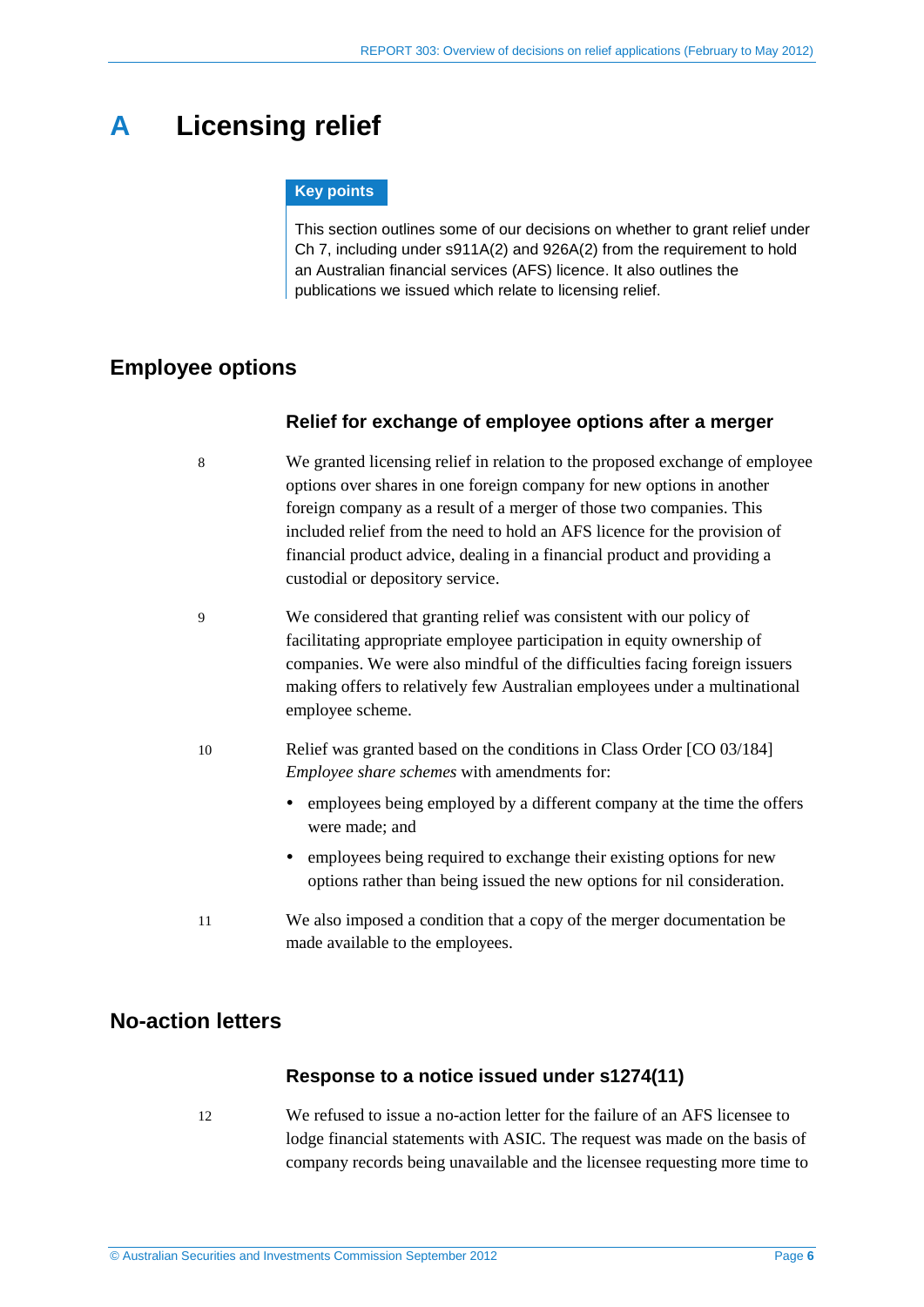# <span id="page-5-6"></span><span id="page-5-0"></span>**A Licensing relief**

### **Key points**

This section outlines some of our decisions on whether to grant relief under Ch 7, including under s911A(2) and 926A(2) from the requirement to hold an Australian financial services (AFS) licence. It also outlines the publications we issued which relate to licensing relief.

# <span id="page-5-3"></span><span id="page-5-1"></span>**Employee options**

### **Relief for exchange of employee options after a merger**

- <span id="page-5-7"></span>8 We granted licensing relief in relation to the proposed exchange of employee options over shares in one foreign company for new options in another foreign company as a result of a merger of those two companies. This included relief from the need to hold an AFS licence for the provision of financial product advice, dealing in a financial product and providing a custodial or depository service.
- 9 We considered that granting relief was consistent with our policy of facilitating appropriate employee participation in equity ownership of companies. We were also mindful of the difficulties facing foreign issuers making offers to relatively few Australian employees under a multinational employee scheme.
- <span id="page-5-5"></span>10 Relief was granted based on the conditions in Class Order [CO 03/184] *Employee share schemes* with amendments for:
	- employees being employed by a different company at the time the offers were made; and
	- employees being required to exchange their existing options for new options rather than being issued the new options for nil consideration.
- <span id="page-5-4"></span>11 We also imposed a condition that a copy of the merger documentation be made available to the employees.

# <span id="page-5-2"></span>**No-action letters**

### **Response to a notice issued under s1274(11)**

12 We refused to issue a no-action letter for the failure of an AFS licensee to lodge financial statements with ASIC. The request was made on the basis of company records being unavailable and the licensee requesting more time to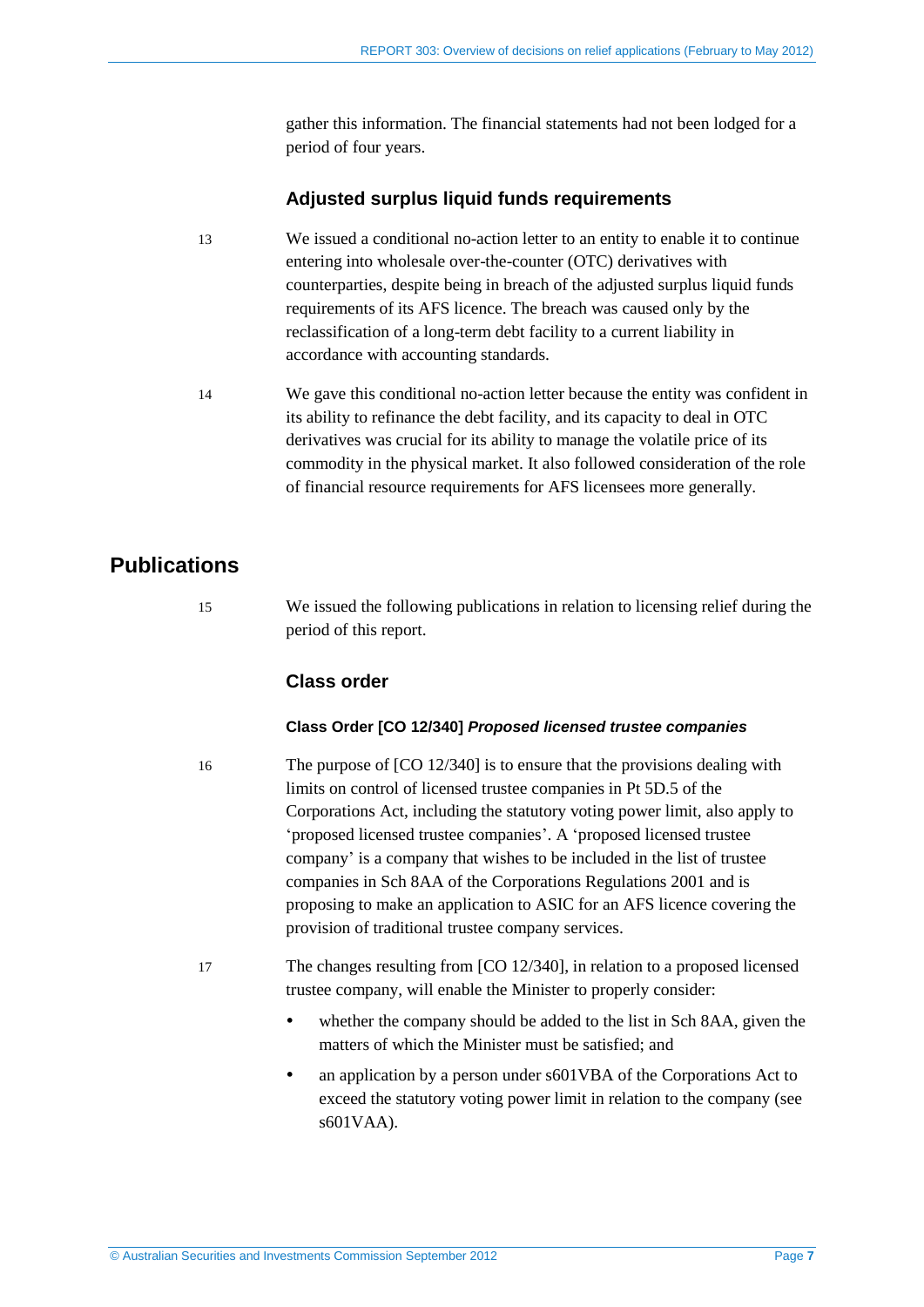gather this information. The financial statements had not been lodged for a period of four years.

### **Adjusted surplus liquid funds requirements**

- 13 We issued a conditional no-action letter to an entity to enable it to continue entering into wholesale over-the-counter (OTC) derivatives with counterparties, despite being in breach of the adjusted surplus liquid funds requirements of its AFS licence. The breach was caused only by the reclassification of a long-term debt facility to a current liability in accordance with accounting standards.
- 14 We gave this conditional no-action letter because the entity was confident in its ability to refinance the debt facility, and its capacity to deal in OTC derivatives was crucial for its ability to manage the volatile price of its commodity in the physical market. It also followed consideration of the role of financial resource requirements for AFS licensees more generally.

# <span id="page-6-0"></span>**Publications**

15 We issued the following publications in relation to licensing relief during the period of this report.

### **Class order**

#### **Class Order [CO 12/340]** *Proposed licensed trustee companies*

16 The purpose of [CO 12/340] is to ensure that the provisions dealing with limits on control of licensed trustee companies in Pt 5D.5 of the Corporations Act, including the statutory voting power limit, also apply to 'proposed licensed trustee companies'. A 'proposed licensed trustee company' is a company that wishes to be included in the list of trustee companies in Sch 8AA of the Corporations Regulations 2001 and is proposing to make an application to ASIC for an AFS licence covering the provision of traditional trustee company services.

- 17 The changes resulting from [CO 12/340], in relation to a proposed licensed trustee company, will enable the Minister to properly consider:
	- whether the company should be added to the list in Sch 8AA, given the matters of which the Minister must be satisfied; and
	- an application by a person under s601VBA of the Corporations Act to exceed the statutory voting power limit in relation to the company (see s601VAA).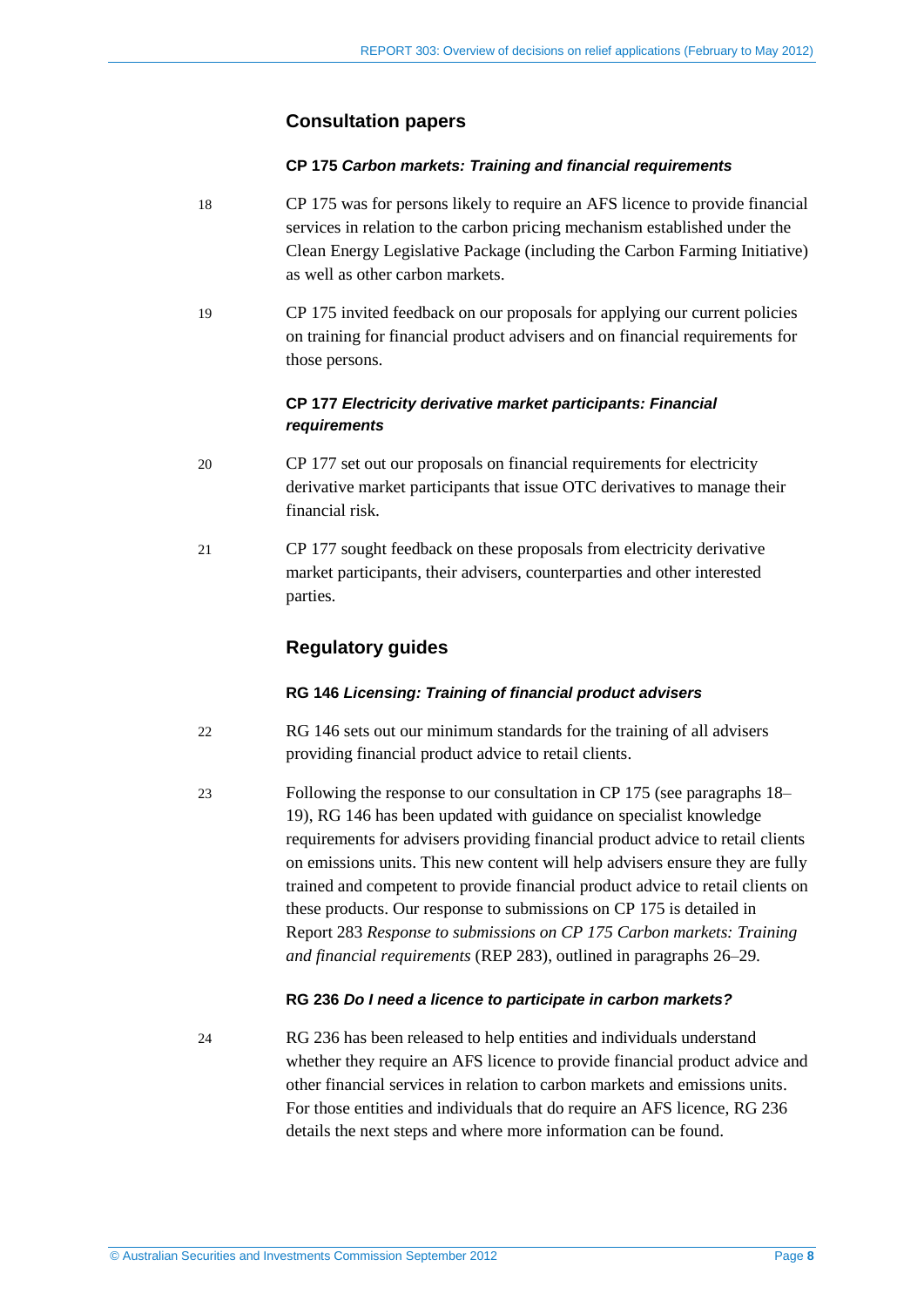### **Consultation papers**

#### **CP 175** *Carbon markets: Training and financial requirements*

- <span id="page-7-0"></span>18 CP 175 was for persons likely to require an AFS licence to provide financial services in relation to the carbon pricing mechanism established under the Clean Energy Legislative Package (including the Carbon Farming Initiative) as well as other carbon markets.
- <span id="page-7-1"></span>19 CP 175 invited feedback on our proposals for applying our current policies on training for financial product advisers and on financial requirements for those persons.

### **CP 177** *Electricity derivative market participants: Financial requirements*

- 20 CP 177 set out our proposals on financial requirements for electricity derivative market participants that issue OTC derivatives to manage their financial risk.
- 21 CP 177 sought feedback on these proposals from electricity derivative market participants, their advisers, counterparties and other interested parties.

### **Regulatory guides**

#### **RG 146** *Licensing: Training of financial product advisers*

- 22 RG 146 sets out our minimum standards for the training of all advisers providing financial product advice to retail clients.
- 23 Following the response to our consultation in CP 175 (see paragraphs [18–](#page-7-0) [19\)](#page-7-1), RG 146 has been updated with guidance on specialist knowledge requirements for advisers providing financial product advice to retail clients on emissions units. This new content will help advisers ensure they are fully trained and competent to provide financial product advice to retail clients on these products. Our response to submissions on CP 175 is detailed in Report 283 *Response to submissions on CP 175 Carbon markets: Training and financial requirements* (REP 283), outlined in paragraphs [26](#page-8-0)[–29.](#page-8-1)

#### **RG 236** *Do I need a licence to participate in carbon markets?*

24 RG 236 has been released to help entities and individuals understand whether they require an AFS licence to provide financial product advice and other financial services in relation to carbon markets and emissions units. For those entities and individuals that do require an AFS licence, RG 236 details the next steps and where more information can be found.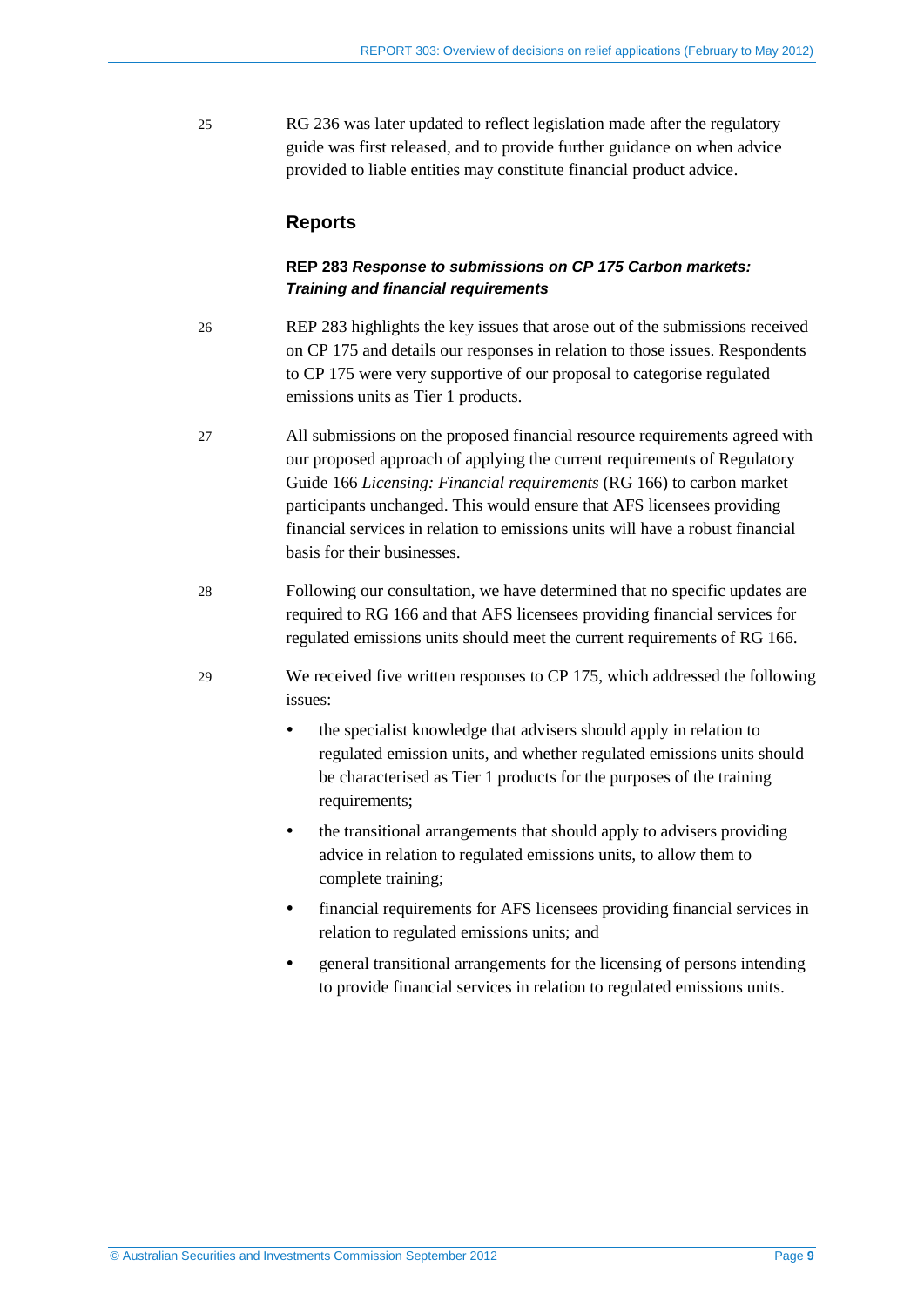25 RG 236 was later updated to reflect legislation made after the regulatory guide was first released, and to provide further guidance on when advice provided to liable entities may constitute financial product advice.

### **Reports**

### **REP 283** *Response to submissions on CP 175 Carbon markets: Training and financial requirements*

- <span id="page-8-0"></span>26 REP 283 highlights the key issues that arose out of the submissions received on CP 175 and details our responses in relation to those issues. Respondents to CP 175 were very supportive of our proposal to categorise regulated emissions units as Tier 1 products.
- 27 All submissions on the proposed financial resource requirements agreed with our proposed approach of applying the current requirements of Regulatory Guide 166 *Licensing: Financial requirements* (RG 166) to carbon market participants unchanged. This would ensure that AFS licensees providing financial services in relation to emissions units will have a robust financial basis for their businesses.
- 28 Following our consultation, we have determined that no specific updates are required to RG 166 and that AFS licensees providing financial services for regulated emissions units should meet the current requirements of RG 166.
- <span id="page-8-1"></span>29 We received five written responses to CP 175, which addressed the following issues:
	- the specialist knowledge that advisers should apply in relation to regulated emission units, and whether regulated emissions units should be characterised as Tier 1 products for the purposes of the training requirements;
	- the transitional arrangements that should apply to advisers providing advice in relation to regulated emissions units, to allow them to complete training;
	- financial requirements for AFS licensees providing financial services in relation to regulated emissions units; and
	- general transitional arrangements for the licensing of persons intending to provide financial services in relation to regulated emissions units.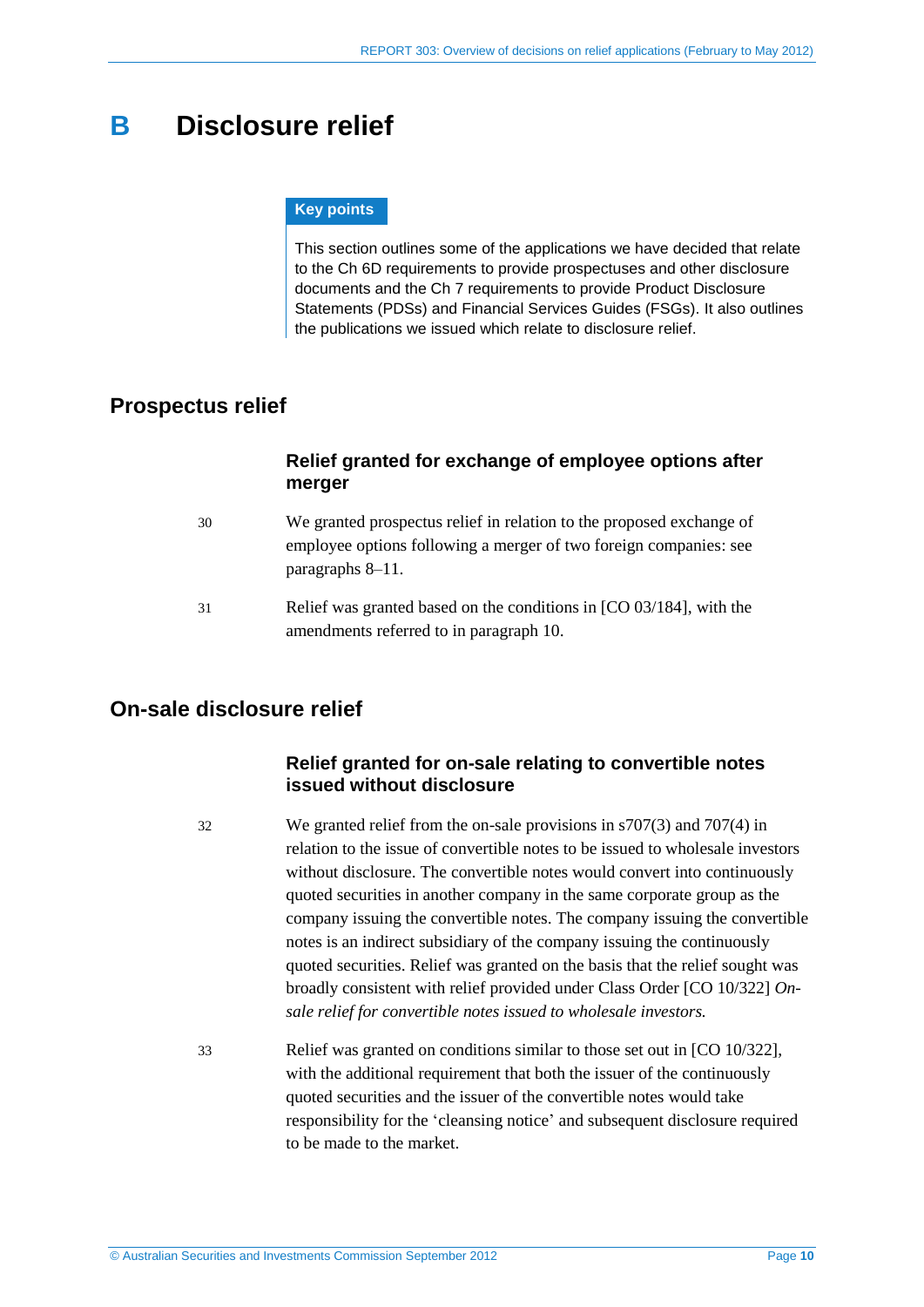# <span id="page-9-4"></span><span id="page-9-3"></span><span id="page-9-0"></span>**B Disclosure relief**

#### **Key points**

This section outlines some of the applications we have decided that relate to the Ch 6D requirements to provide prospectuses and other disclosure documents and the Ch 7 requirements to provide Product Disclosure Statements (PDSs) and Financial Services Guides (FSGs). It also outlines the publications we issued which relate to disclosure relief.

# <span id="page-9-5"></span><span id="page-9-1"></span>**Prospectus relief**

### **Relief granted for exchange of employee options after merger**

- 30 We granted prospectus relief in relation to the proposed exchange of employee options following a merger of two foreign companies: see paragraphs [8](#page-5-3)[–11.](#page-5-4)
- 31 Relief was granted based on the conditions in [CO 03/184], with the amendments referred to in paragraph [10.](#page-5-5)

# <span id="page-9-6"></span><span id="page-9-2"></span>**On-sale disclosure relief**

## **Relief granted for on-sale relating to convertible notes issued without disclosure**

32 We granted relief from the on-sale provisions in s707(3) and 707(4) in relation to the issue of convertible notes to be issued to wholesale investors without disclosure. The convertible notes would convert into continuously quoted securities in another company in the same corporate group as the company issuing the convertible notes. The company issuing the convertible notes is an indirect subsidiary of the company issuing the continuously quoted securities. Relief was granted on the basis that the relief sought was broadly consistent with relief provided under Class Order [CO 10/322] *Onsale relief for convertible notes issued to wholesale investors.*

33 Relief was granted on conditions similar to those set out in [CO 10/322], with the additional requirement that both the issuer of the continuously quoted securities and the issuer of the convertible notes would take responsibility for the 'cleansing notice' and subsequent disclosure required to be made to the market.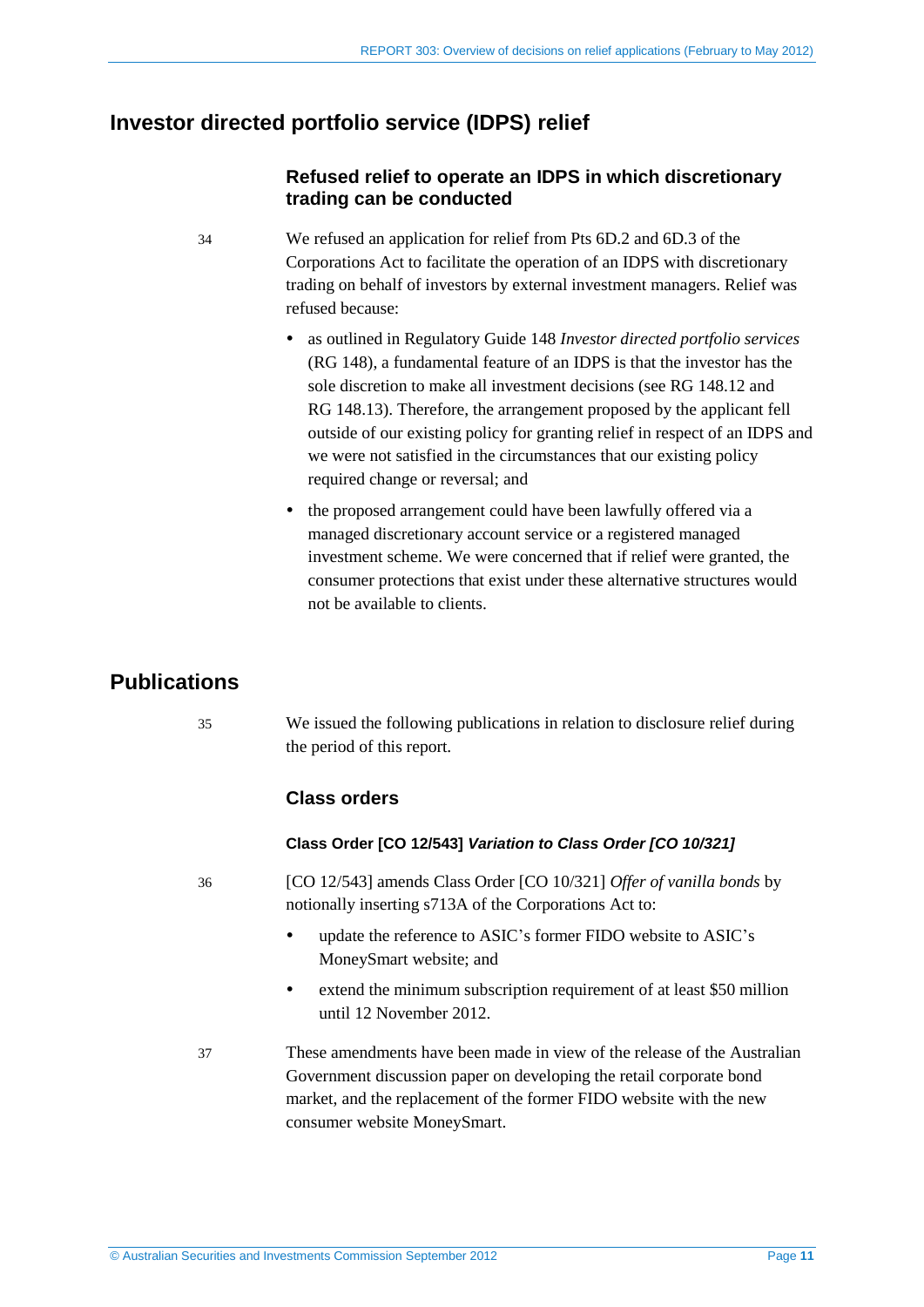# <span id="page-10-0"></span>**Investor directed portfolio service (IDPS) relief**

## **Refused relief to operate an IDPS in which discretionary trading can be conducted**

- <span id="page-10-2"></span>34 We refused an application for relief from Pts 6D.2 and 6D.3 of the Corporations Act to facilitate the operation of an IDPS with discretionary trading on behalf of investors by external investment managers. Relief was refused because:
	- as outlined in Regulatory Guide 148 *Investor directed portfolio services* (RG 148), a fundamental feature of an IDPS is that the investor has the sole discretion to make all investment decisions (see RG 148.12 and RG 148.13). Therefore, the arrangement proposed by the applicant fell outside of our existing policy for granting relief in respect of an IDPS and we were not satisfied in the circumstances that our existing policy required change or reversal; and
	- the proposed arrangement could have been lawfully offered via a managed discretionary account service or a registered managed investment scheme. We were concerned that if relief were granted, the consumer protections that exist under these alternative structures would not be available to clients.

# <span id="page-10-1"></span>**Publications**

35 We issued the following publications in relation to disclosure relief during the period of this report.

### **Class orders**

### **Class Order [CO 12/543]** *Variation to Class Order [CO 10/321]*

- 36 [CO 12/543] amends Class Order [CO 10/321] *Offer of vanilla bonds* by notionally inserting s713A of the Corporations Act to:
	- update the reference to ASIC's former FIDO website to ASIC's MoneySmart website; and
	- extend the minimum subscription requirement of at least \$50 million until 12 November 2012.
- 37 These amendments have been made in view of the release of the Australian Government discussion paper on developing the retail corporate bond market, and the replacement of the former FIDO website with the new consumer website MoneySmart.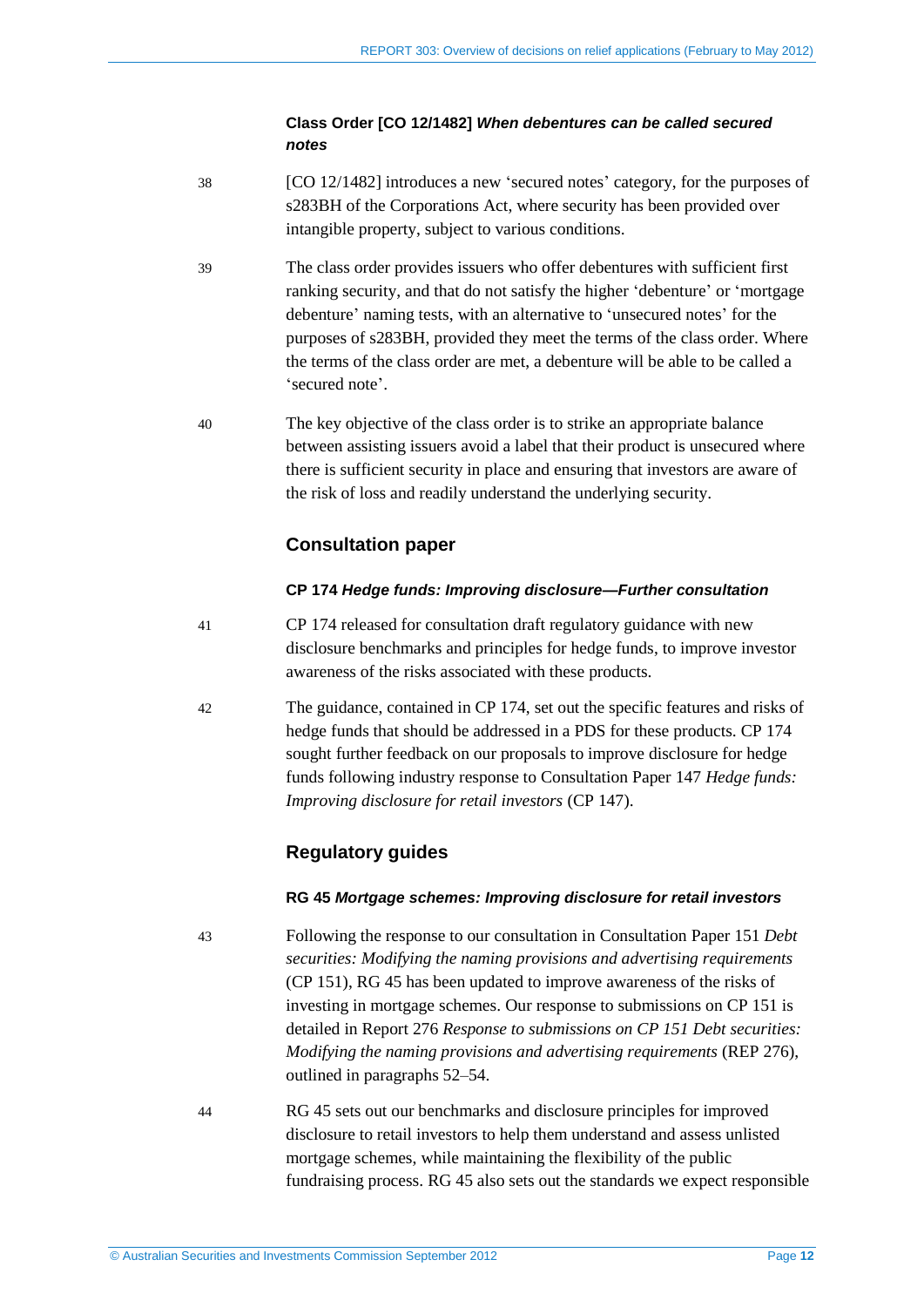### **Class Order [CO 12/1482]** *When debentures can be called secured notes*

- 38 [CO 12/1482] introduces a new 'secured notes' category, for the purposes of s283BH of the Corporations Act, where security has been provided over intangible property, subject to various conditions.
- 39 The class order provides issuers who offer debentures with sufficient first ranking security, and that do not satisfy the higher 'debenture' or 'mortgage debenture' naming tests, with an alternative to 'unsecured notes' for the purposes of s283BH, provided they meet the terms of the class order. Where the terms of the class order are met, a debenture will be able to be called a 'secured note'.
- 40 The key objective of the class order is to strike an appropriate balance between assisting issuers avoid a label that their product is unsecured where there is sufficient security in place and ensuring that investors are aware of the risk of loss and readily understand the underlying security.

# **Consultation paper**

### **CP 174** *Hedge funds: Improving disclosure—Further consultation*

- 41 CP 174 released for consultation draft regulatory guidance with new disclosure benchmarks and principles for hedge funds, to improve investor awareness of the risks associated with these products.
- 42 The guidance, contained in CP 174, set out the specific features and risks of hedge funds that should be addressed in a PDS for these products. CP 174 sought further feedback on our proposals to improve disclosure for hedge funds following industry response to Consultation Paper 147 *Hedge funds: Improving disclosure for retail investors* (CP 147).

# **Regulatory guides**

### **RG 45** *Mortgage schemes: Improving disclosure for retail investors*

- 43 Following the response to our consultation in Consultation Paper 151 *Debt securities: Modifying the naming provisions and advertising requirements* (CP 151), RG 45 has been updated to improve awareness of the risks of investing in mortgage schemes. Our response to submissions on CP 151 is detailed in Report 276 *Response to submissions on CP 151 Debt securities: Modifying the naming provisions and advertising requirements* (REP 276), outlined in paragraphs [52–](#page-13-0)[54.](#page-13-1)
- 44 RG 45 sets out our benchmarks and disclosure principles for improved disclosure to retail investors to help them understand and assess unlisted mortgage schemes, while maintaining the flexibility of the public fundraising process. RG 45 also sets out the standards we expect responsible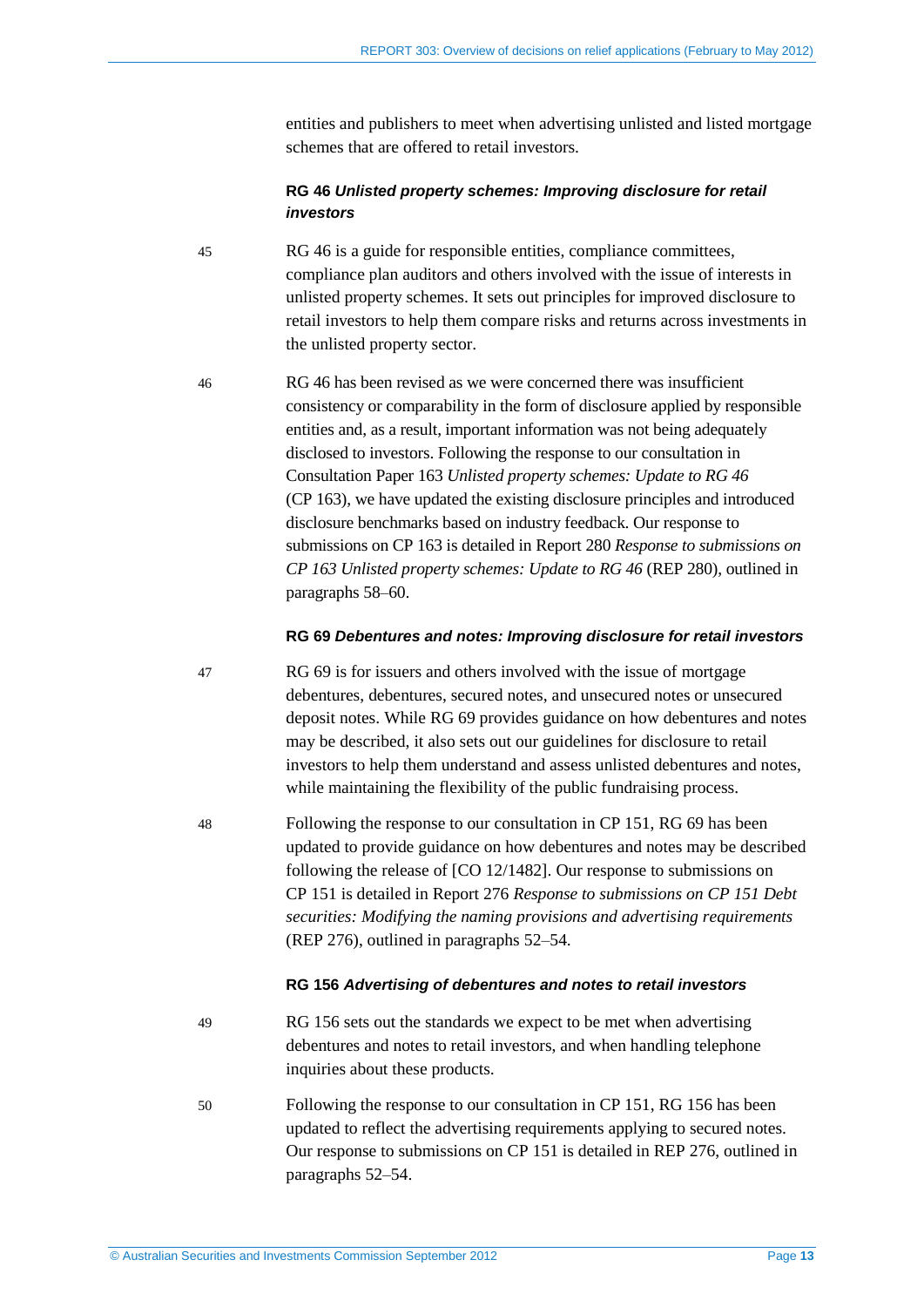entities and publishers to meet when advertising unlisted and listed mortgage schemes that are offered to retail investors.

### **RG 46** *Unlisted property schemes: Improving disclosure for retail investors*

- 45 RG 46 is a guide for responsible entities, compliance committees, compliance plan auditors and others involved with the issue of interests in unlisted property schemes. It sets out principles for improved disclosure to retail investors to help them compare risks and returns across investments in the unlisted property sector.
- 46 RG 46 has been revised as we were concerned there was insufficient consistency or comparability in the form of disclosure applied by responsible entities and, as a result, important information was not being adequately disclosed to investors. Following the response to our consultation in Consultation Paper 163 *Unlisted property schemes: Update to RG 46* (CP 163), we have updated the existing disclosure principles and introduced disclosure benchmarks based on industry feedback. Our response to submissions on CP 163 is detailed in Report 280 *Response to submissions on CP 163 Unlisted property schemes: Update to RG 46* (REP 280), outlined in paragraphs [58](#page-14-0)[–60.](#page-15-0)

#### **RG 69** *Debentures and notes: Improving disclosure for retail investors*

47 RG 69 is for issuers and others involved with the issue of mortgage debentures, debentures, secured notes, and unsecured notes or unsecured deposit notes. While RG 69 provides guidance on how debentures and notes may be described, it also sets out our guidelines for disclosure to retail investors to help them understand and assess unlisted debentures and notes, while maintaining the flexibility of the public fundraising process.

48 Following the response to our consultation in CP 151, RG 69 has been updated to provide guidance on how debentures and notes may be described following the release of [CO 12/1482]. Our response to submissions on CP 151 is detailed in Report 276 *Response to submissions on CP 151 Debt securities: Modifying the naming provisions and advertising requirements* (REP 276), outlined in paragraph[s 52](#page-13-0)[–54.](#page-13-1)

#### **RG 156** *Advertising of debentures and notes to retail investors*

- 49 RG 156 sets out the standards we expect to be met when advertising debentures and notes to retail investors, and when handling telephone inquiries about these products.
- 50 Following the response to our consultation in CP 151, RG 156 has been updated to reflect the advertising requirements applying to secured notes. Our response to submissions on CP 151 is detailed in REP 276, outlined in paragraphs [52–](#page-13-0)[54.](#page-13-1)

© Australian Securities and Investments Commission September 2012 Page **13**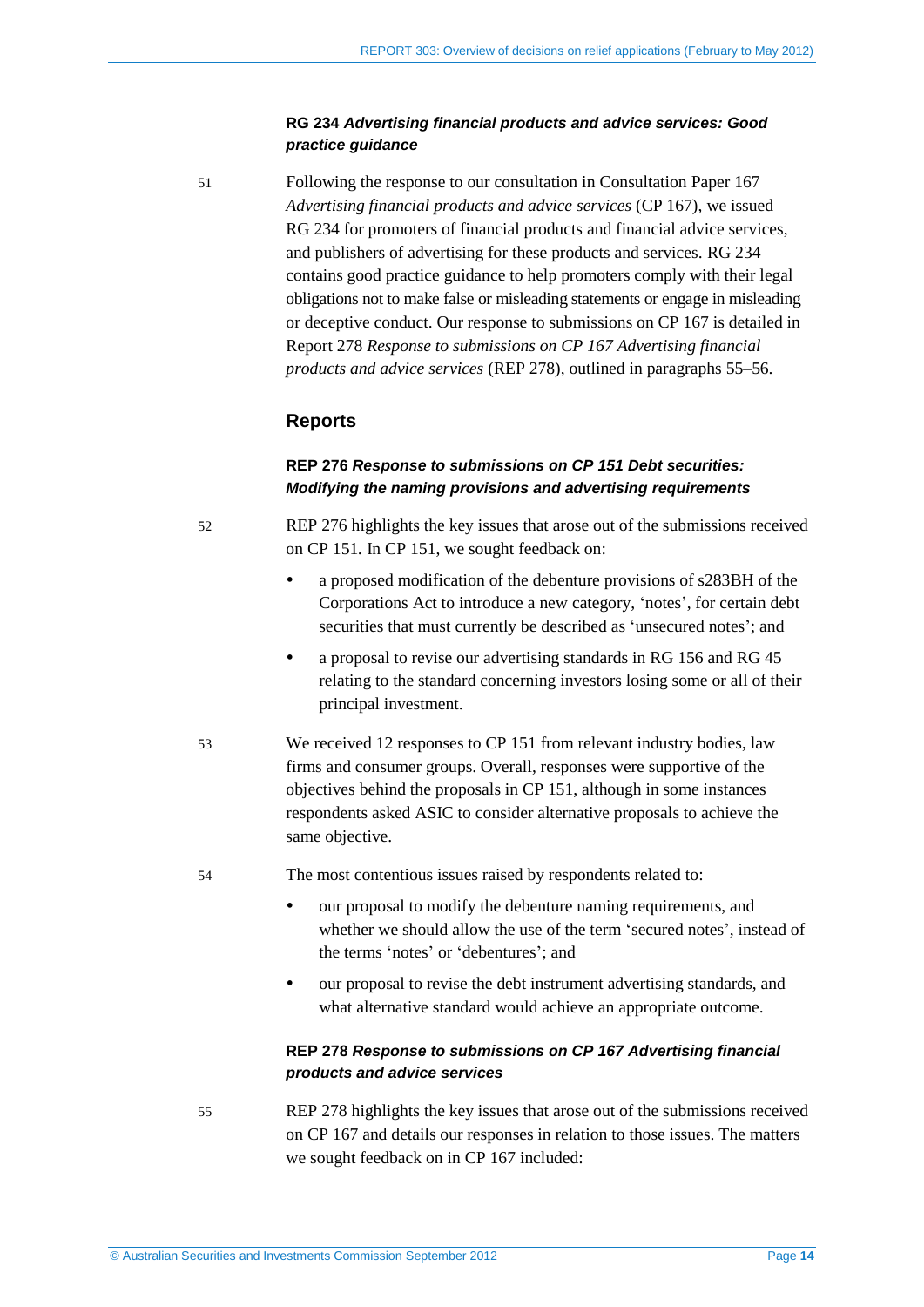### **RG 234** *Advertising financial products and advice services: Good practice guidance*

51 Following the response to our consultation in Consultation Paper 167 *Advertising financial products and advice services* (CP 167), we issued RG 234 for promoters of financial products and financial advice services, and publishers of advertising for these products and services. RG 234 contains good practice guidance to help promoters comply with their legal obligations not to make false or misleading statements or engage in misleading or deceptive conduct. Our response to submissions on CP 167 is detailed in Report 278 *Response to submissions on CP 167 Advertising financial products and advice services* (REP 278), outlined in paragraphs [55](#page-13-2)[–56.](#page-14-1)

### **Reports**

### **REP 276** *Response to submissions on CP 151 Debt securities: Modifying the naming provisions and advertising requirements*

- <span id="page-13-0"></span>52 REP 276 highlights the key issues that arose out of the submissions received on CP 151*.* In CP 151, we sought feedback on:
	- a proposed modification of the debenture provisions of s283BH of the Corporations Act to introduce a new category, 'notes', for certain debt securities that must currently be described as 'unsecured notes'; and
	- a proposal to revise our advertising standards in RG 156 and RG 45 relating to the standard concerning investors losing some or all of their principal investment.
- 53 We received 12 responses to CP 151 from relevant industry bodies, law firms and consumer groups. Overall, responses were supportive of the objectives behind the proposals in CP 151, although in some instances respondents asked ASIC to consider alternative proposals to achieve the same objective.
- <span id="page-13-1"></span>54 The most contentious issues raised by respondents related to:
	- our proposal to modify the debenture naming requirements, and whether we should allow the use of the term 'secured notes', instead of the terms 'notes' or 'debentures'; and
	- our proposal to revise the debt instrument advertising standards, and what alternative standard would achieve an appropriate outcome.

### **REP 278** *Response to submissions on CP 167 Advertising financial products and advice services*

<span id="page-13-2"></span>55 REP 278 highlights the key issues that arose out of the submissions received on CP 167 and details our responses in relation to those issues. The matters we sought feedback on in CP 167 included: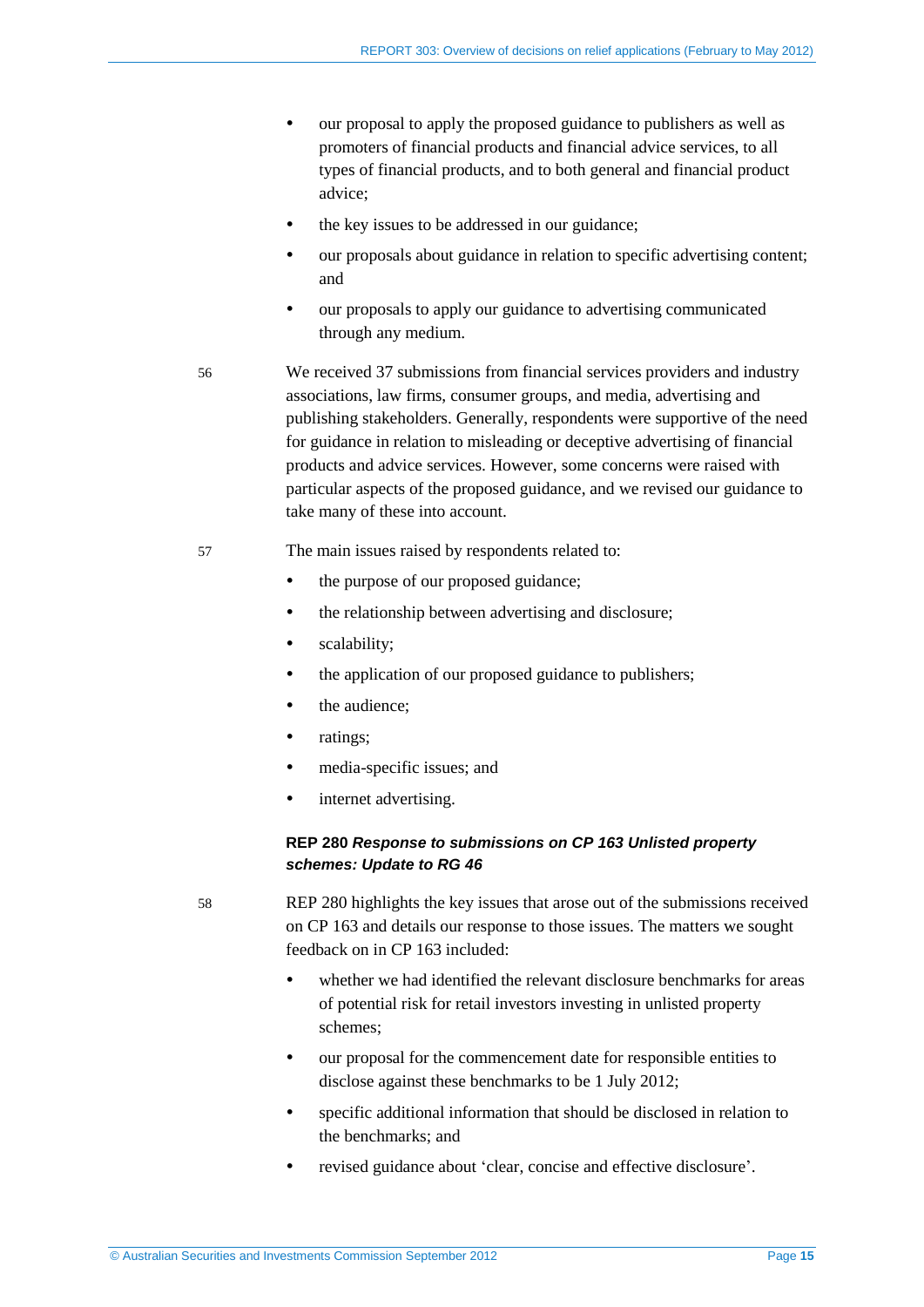- our proposal to apply the proposed guidance to publishers as well as promoters of financial products and financial advice services, to all types of financial products, and to both general and financial product advice;
- the key issues to be addressed in our guidance;
- our proposals about guidance in relation to specific advertising content; and
- our proposals to apply our guidance to advertising communicated through any medium.
- <span id="page-14-1"></span>56 We received 37 submissions from financial services providers and industry associations, law firms, consumer groups, and media, advertising and publishing stakeholders. Generally, respondents were supportive of the need for guidance in relation to misleading or deceptive advertising of financial products and advice services. However, some concerns were raised with particular aspects of the proposed guidance, and we revised our guidance to take many of these into account.
- 57 The main issues raised by respondents related to:
	- the purpose of our proposed guidance;
	- the relationship between advertising and disclosure;
	- scalability;
	- the application of our proposed guidance to publishers:
	- the audience;
	- ratings;
	- media-specific issues; and
	- internet advertising.

### **REP 280** *Response to submissions on CP 163 Unlisted property schemes: Update to RG 46*

<span id="page-14-0"></span>

58 REP 280 highlights the key issues that arose out of the submissions received on CP 163 and details our response to those issues. The matters we sought feedback on in CP 163 included:

- whether we had identified the relevant disclosure benchmarks for areas of potential risk for retail investors investing in unlisted property schemes;
- our proposal for the commencement date for responsible entities to disclose against these benchmarks to be 1 July 2012;
- specific additional information that should be disclosed in relation to the benchmarks; and
- revised guidance about 'clear, concise and effective disclosure'.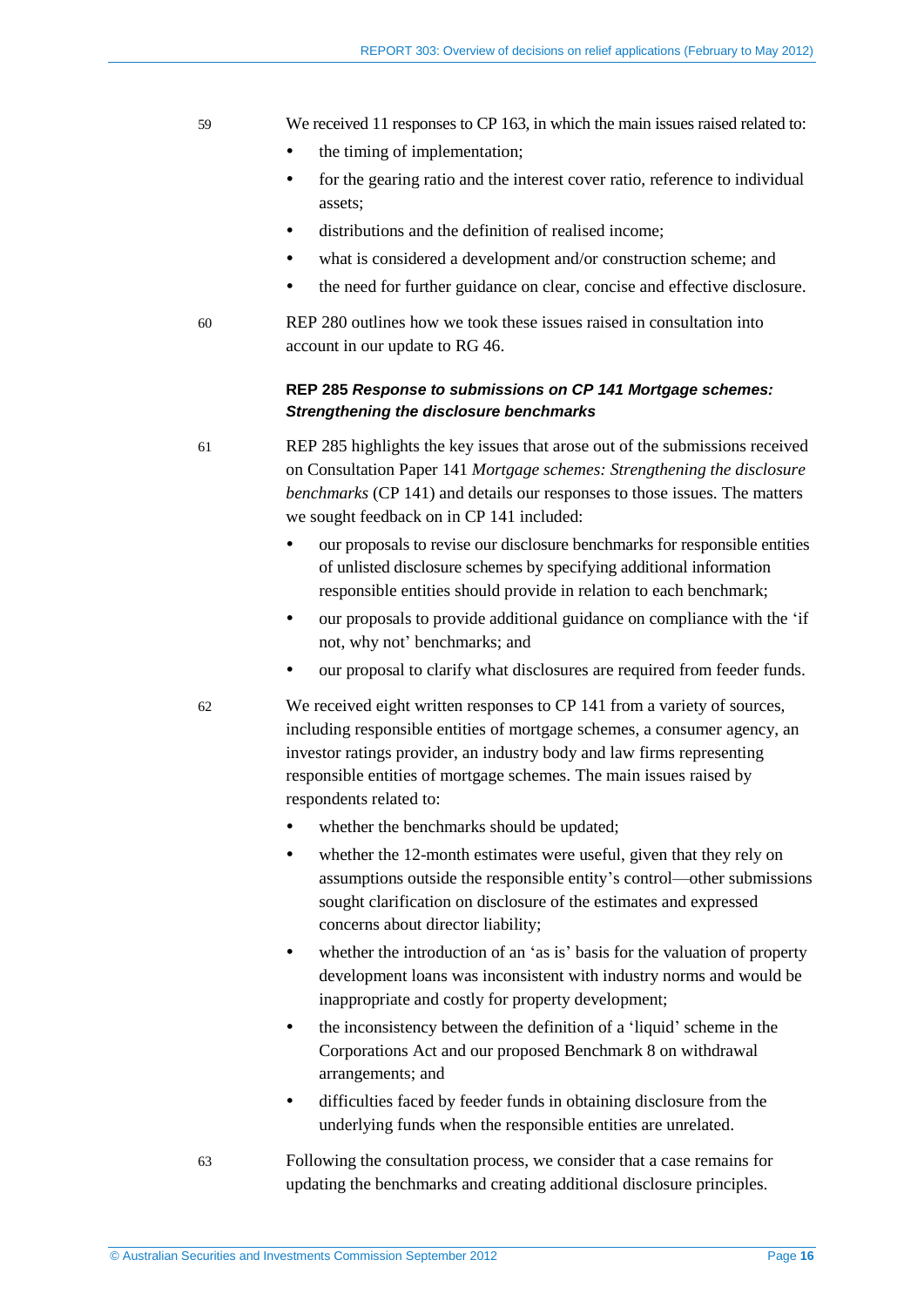#### 59 We received 11 responses to CP 163, in which the main issues raised related to:

- the timing of implementation;
- for the gearing ratio and the interest cover ratio, reference to individual assets;
- distributions and the definition of realised income;
- what is considered a development and/or construction scheme; and
- the need for further guidance on clear, concise and effective disclosure.
- <span id="page-15-0"></span>60 REP 280 outlines how we took these issues raised in consultation into account in our update to RG 46.

### **REP 285** *Response to submissions on CP 141 Mortgage schemes: Strengthening the disclosure benchmarks*

61 REP 285 highlights the key issues that arose out of the submissions received on Consultation Paper 141 *Mortgage schemes: Strengthening the disclosure benchmarks* (CP 141) and details our responses to those issues. The matters we sought feedback on in CP 141 included:

- our proposals to revise our disclosure benchmarks for responsible entities of unlisted disclosure schemes by specifying additional information responsible entities should provide in relation to each benchmark;
- our proposals to provide additional guidance on compliance with the 'if not, why not' benchmarks; and
- our proposal to clarify what disclosures are required from feeder funds.
- 62 We received eight written responses to CP 141 from a variety of sources, including responsible entities of mortgage schemes, a consumer agency, an investor ratings provider, an industry body and law firms representing responsible entities of mortgage schemes. The main issues raised by respondents related to:
	- whether the benchmarks should be updated;
	- whether the 12-month estimates were useful, given that they rely on assumptions outside the responsible entity's control—other submissions sought clarification on disclosure of the estimates and expressed concerns about director liability;
	- whether the introduction of an 'as is' basis for the valuation of property development loans was inconsistent with industry norms and would be inappropriate and costly for property development;
	- the inconsistency between the definition of a 'liquid' scheme in the Corporations Act and our proposed Benchmark 8 on withdrawal arrangements; and
	- difficulties faced by feeder funds in obtaining disclosure from the underlying funds when the responsible entities are unrelated.
- 63 Following the consultation process, we consider that a case remains for updating the benchmarks and creating additional disclosure principles.

© Australian Securities and Investments Commission September 2012 Page **16**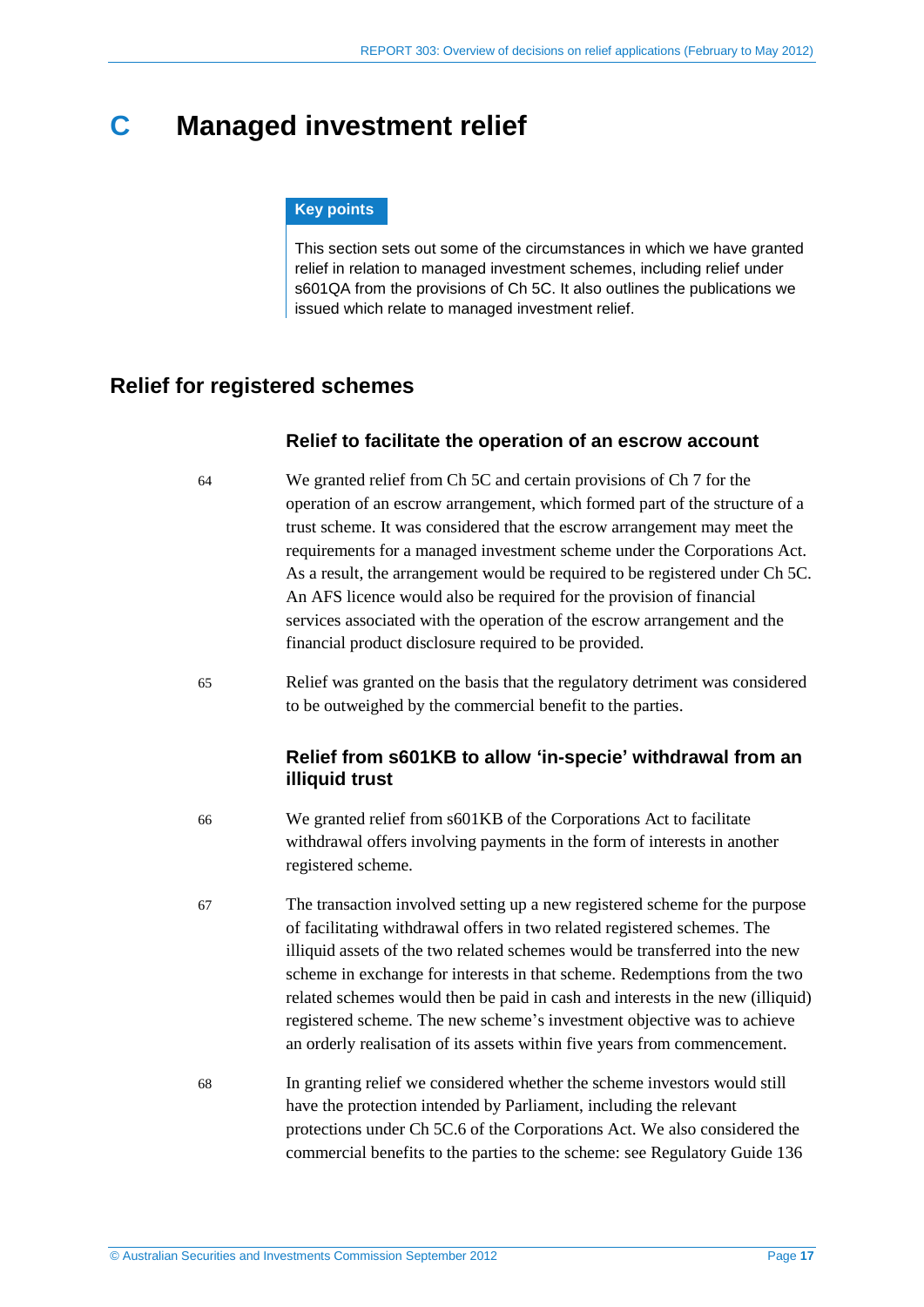# <span id="page-16-2"></span><span id="page-16-0"></span>**C Managed investment relief**

#### **Key points**

This section sets out some of the circumstances in which we have granted relief in relation to managed investment schemes, including relief under s601QA from the provisions of Ch 5C. It also outlines the publications we issued which relate to managed investment relief.

# <span id="page-16-4"></span><span id="page-16-3"></span><span id="page-16-1"></span>**Relief for registered schemes**

### **Relief to facilitate the operation of an escrow account**

- 64 We granted relief from Ch 5C and certain provisions of Ch 7 for the operation of an escrow arrangement, which formed part of the structure of a trust scheme. It was considered that the escrow arrangement may meet the requirements for a managed investment scheme under the Corporations Act. As a result, the arrangement would be required to be registered under Ch 5C. An AFS licence would also be required for the provision of financial services associated with the operation of the escrow arrangement and the financial product disclosure required to be provided.
- 65 Relief was granted on the basis that the regulatory detriment was considered to be outweighed by the commercial benefit to the parties.

# **Relief from s601KB to allow 'in-specie' withdrawal from an illiquid trust**

- 66 We granted relief from s601KB of the Corporations Act to facilitate withdrawal offers involving payments in the form of interests in another registered scheme.
- 67 The transaction involved setting up a new registered scheme for the purpose of facilitating withdrawal offers in two related registered schemes. The illiquid assets of the two related schemes would be transferred into the new scheme in exchange for interests in that scheme. Redemptions from the two related schemes would then be paid in cash and interests in the new (illiquid) registered scheme. The new scheme's investment objective was to achieve an orderly realisation of its assets within five years from commencement.
- 68 In granting relief we considered whether the scheme investors would still have the protection intended by Parliament, including the relevant protections under Ch 5C.6 of the Corporations Act. We also considered the commercial benefits to the parties to the scheme: see Regulatory Guide 136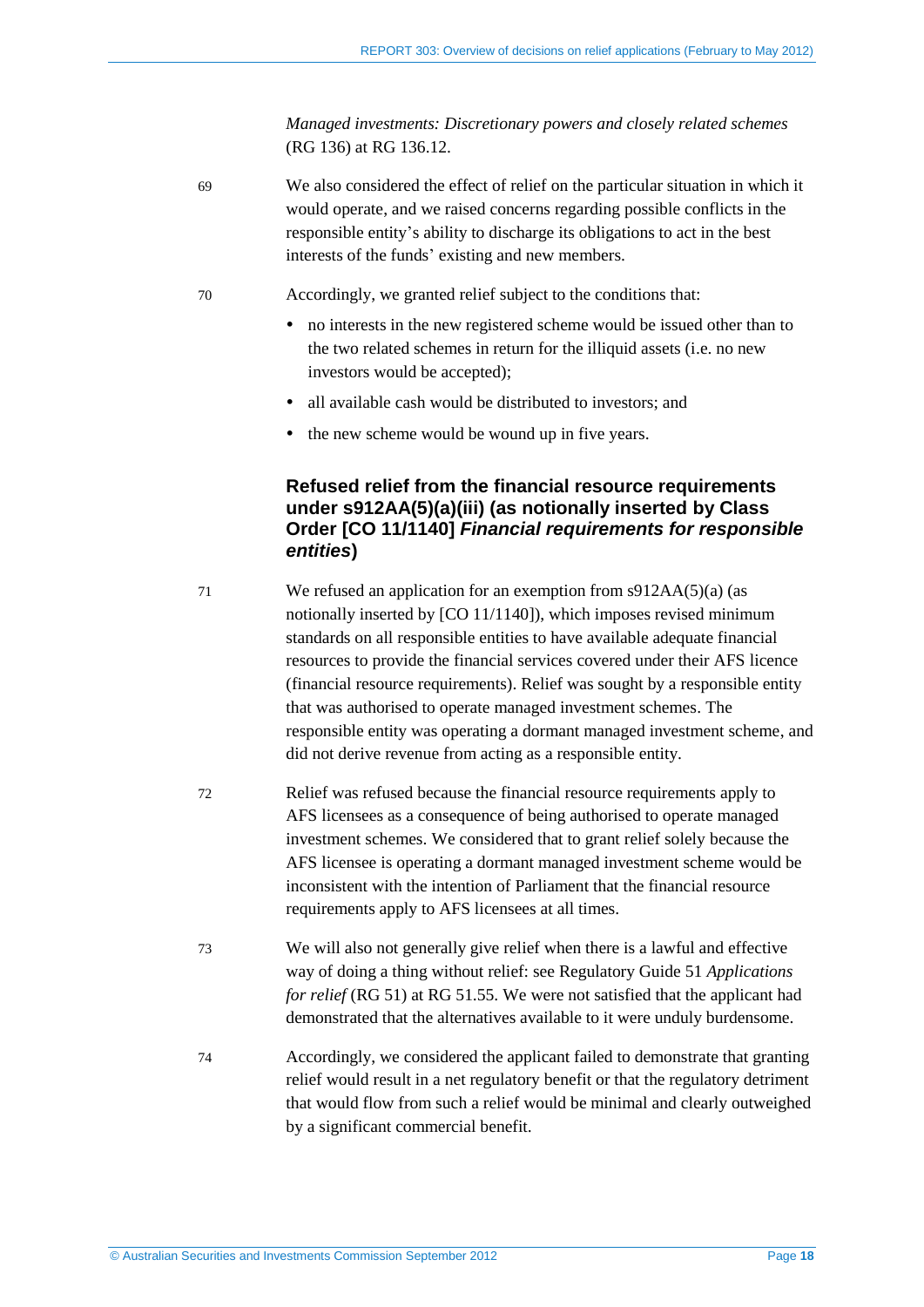<span id="page-17-0"></span>*Managed investments: Discretionary powers and closely related schemes*  (RG 136) at RG 136.12.

69 We also considered the effect of relief on the particular situation in which it would operate, and we raised concerns regarding possible conflicts in the responsible entity's ability to discharge its obligations to act in the best interests of the funds' existing and new members.

70 Accordingly, we granted relief subject to the conditions that:

- no interests in the new registered scheme would be issued other than to the two related schemes in return for the illiquid assets (i.e. no new investors would be accepted);
- all available cash would be distributed to investors; and
- the new scheme would be wound up in five years.

## **Refused relief from the financial resource requirements under s912AA(5)(a)(iii) (as notionally inserted by Class Order [CO 11/1140]** *Financial requirements for responsible entities***)**

- 71 We refused an application for an exemption from s912AA(5)(a) (as notionally inserted by [CO 11/1140]), which imposes revised minimum standards on all responsible entities to have available adequate financial resources to provide the financial services covered under their AFS licence (financial resource requirements). Relief was sought by a responsible entity that was authorised to operate managed investment schemes. The responsible entity was operating a dormant managed investment scheme, and did not derive revenue from acting as a responsible entity.
- 72 Relief was refused because the financial resource requirements apply to AFS licensees as a consequence of being authorised to operate managed investment schemes. We considered that to grant relief solely because the AFS licensee is operating a dormant managed investment scheme would be inconsistent with the intention of Parliament that the financial resource requirements apply to AFS licensees at all times.
- 73 We will also not generally give relief when there is a lawful and effective way of doing a thing without relief: see Regulatory Guide 51 *Applications for relief* (RG 51) at RG 51.55. We were not satisfied that the applicant had demonstrated that the alternatives available to it were unduly burdensome.
- 74 Accordingly, we considered the applicant failed to demonstrate that granting relief would result in a net regulatory benefit or that the regulatory detriment that would flow from such a relief would be minimal and clearly outweighed by a significant commercial benefit.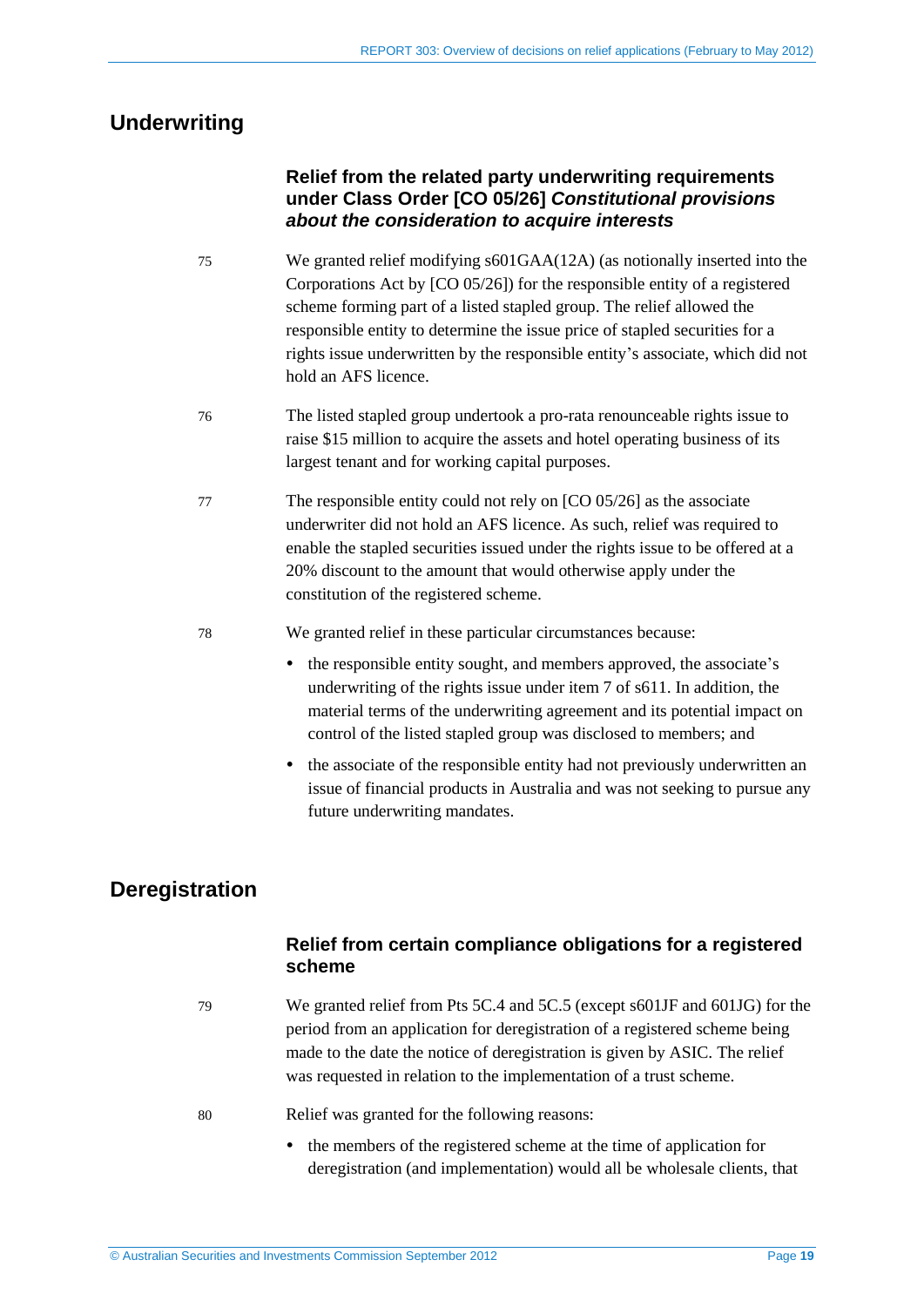# <span id="page-18-2"></span><span id="page-18-0"></span>**Underwriting**

# **Relief from the related party underwriting requirements under Class Order [CO 05/26]** *Constitutional provisions about the consideration to acquire interests*

- <span id="page-18-3"></span>75 We granted relief modifying s601GAA(12A) (as notionally inserted into the Corporations Act by [CO 05/26]) for the responsible entity of a registered scheme forming part of a listed stapled group. The relief allowed the responsible entity to determine the issue price of stapled securities for a rights issue underwritten by the responsible entity's associate, which did not hold an AFS licence.
- 76 The listed stapled group undertook a pro-rata renounceable rights issue to raise \$15 million to acquire the assets and hotel operating business of its largest tenant and for working capital purposes.
- 77 The responsible entity could not rely on [CO 05/26] as the associate underwriter did not hold an AFS licence. As such, relief was required to enable the stapled securities issued under the rights issue to be offered at a 20% discount to the amount that would otherwise apply under the constitution of the registered scheme.
- <span id="page-18-4"></span>78 We granted relief in these particular circumstances because:
	- the responsible entity sought, and members approved, the associate's underwriting of the rights issue under item 7 of s611. In addition, the material terms of the underwriting agreement and its potential impact on control of the listed stapled group was disclosed to members; and
	- the associate of the responsible entity had not previously underwritten an issue of financial products in Australia and was not seeking to pursue any future underwriting mandates.

# <span id="page-18-1"></span>**Deregistration**

# **Relief from certain compliance obligations for a registered scheme**

- 79 We granted relief from Pts 5C.4 and 5C.5 (except s601JF and 601JG) for the period from an application for deregistration of a registered scheme being made to the date the notice of deregistration is given by ASIC. The relief was requested in relation to the implementation of a trust scheme.
- 80 Relief was granted for the following reasons:
	- the members of the registered scheme at the time of application for deregistration (and implementation) would all be wholesale clients, that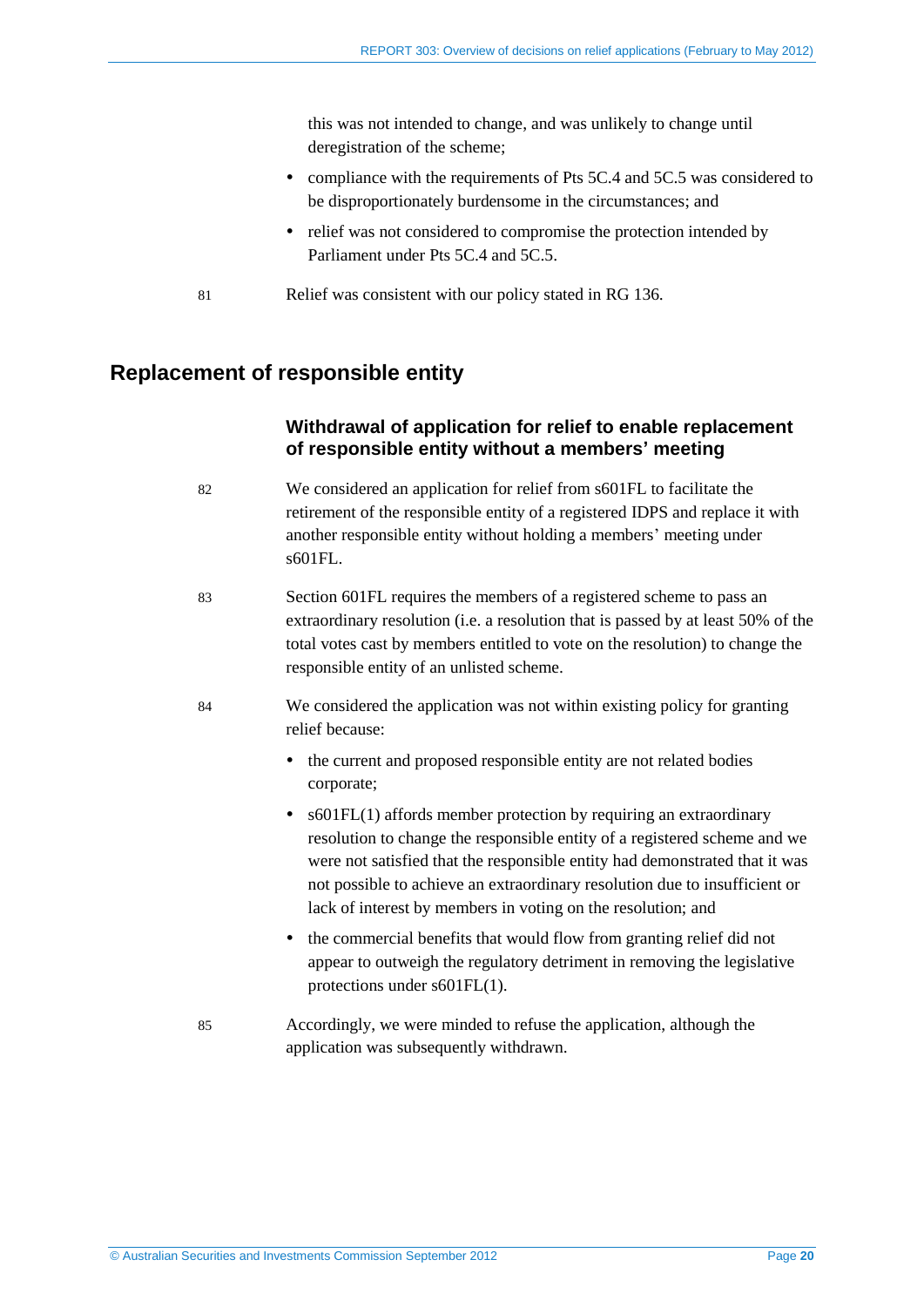<span id="page-19-1"></span>this was not intended to change, and was unlikely to change until deregistration of the scheme;

- compliance with the requirements of Pts 5C.4 and 5C.5 was considered to be disproportionately burdensome in the circumstances; and
- relief was not considered to compromise the protection intended by Parliament under Pts 5C.4 and 5C.5.
- 81 Relief was consistent with our policy stated in RG 136.

# <span id="page-19-0"></span>**Replacement of responsible entity**

### **Withdrawal of application for relief to enable replacement of responsible entity without a members' meeting**

- 82 We considered an application for relief from s601FL to facilitate the retirement of the responsible entity of a registered IDPS and replace it with another responsible entity without holding a members' meeting under s601FL.
- 83 Section 601FL requires the members of a registered scheme to pass an extraordinary resolution (i.e. a resolution that is passed by at least 50% of the total votes cast by members entitled to vote on the resolution) to change the responsible entity of an unlisted scheme.
- 84 We considered the application was not within existing policy for granting relief because:
	- the current and proposed responsible entity are not related bodies corporate;
	- s601FL(1) affords member protection by requiring an extraordinary resolution to change the responsible entity of a registered scheme and we were not satisfied that the responsible entity had demonstrated that it was not possible to achieve an extraordinary resolution due to insufficient or lack of interest by members in voting on the resolution; and
	- the commercial benefits that would flow from granting relief did not appear to outweigh the regulatory detriment in removing the legislative protections under s601FL(1).
- 85 Accordingly, we were minded to refuse the application, although the application was subsequently withdrawn.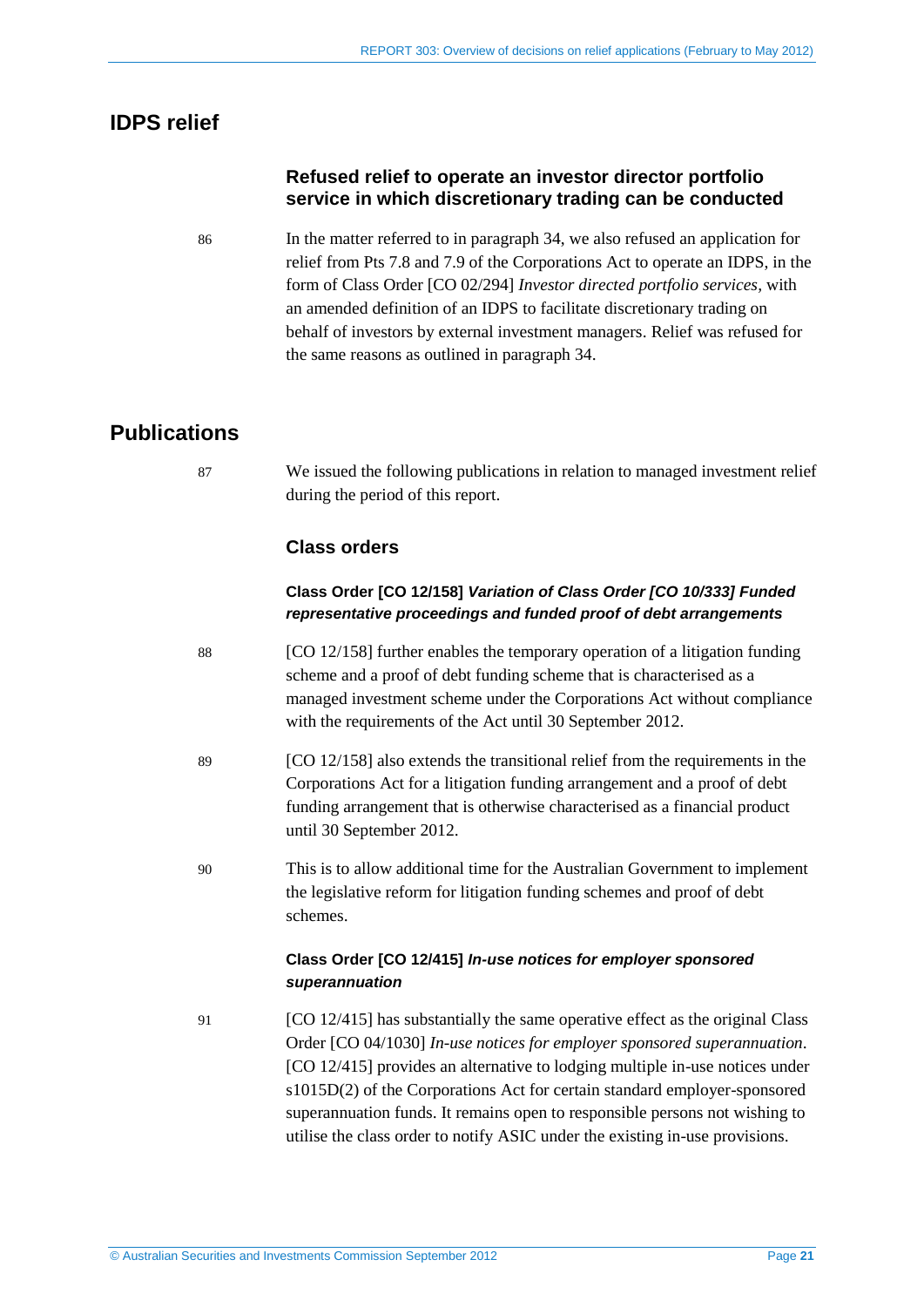# <span id="page-20-0"></span>**IDPS relief**

## **Refused relief to operate an investor director portfolio service in which discretionary trading can be conducted**

86 In the matter referred to in paragraph [34,](#page-10-2) we also refused an application for relief from Pts 7.8 and 7.9 of the Corporations Act to operate an IDPS, in the form of Class Order [CO 02/294] *Investor directed portfolio services,* with an amended definition of an IDPS to facilitate discretionary trading on behalf of investors by external investment managers. Relief was refused for the same reasons as outlined in paragraph [34.](#page-10-2)

# <span id="page-20-1"></span>**Publications**

87 We issued the following publications in relation to managed investment relief during the period of this report.

# **Class orders**

## **Class Order [CO 12/158]** *Variation of Class Order [CO 10/333] Funded representative proceedings and funded proof of debt arrangements*

- 88 [CO 12/158] further enables the temporary operation of a litigation funding scheme and a proof of debt funding scheme that is characterised as a managed investment scheme under the Corporations Act without compliance with the requirements of the Act until 30 September 2012.
- 89 [CO 12/158] also extends the transitional relief from the requirements in the Corporations Act for a litigation funding arrangement and a proof of debt funding arrangement that is otherwise characterised as a financial product until 30 September 2012.
- 90 This is to allow additional time for the Australian Government to implement the legislative reform for litigation funding schemes and proof of debt schemes.

### **Class Order [CO 12/415]** *In-use notices for employer sponsored superannuation*

91 [CO 12/415] has substantially the same operative effect as the original Class Order [CO 04/1030] *In-use notices for employer sponsored superannuation*. [CO 12/415] provides an alternative to lodging multiple in-use notices under s1015D(2) of the Corporations Act for certain standard employer-sponsored superannuation funds. It remains open to responsible persons not wishing to utilise the class order to notify ASIC under the existing in-use provisions.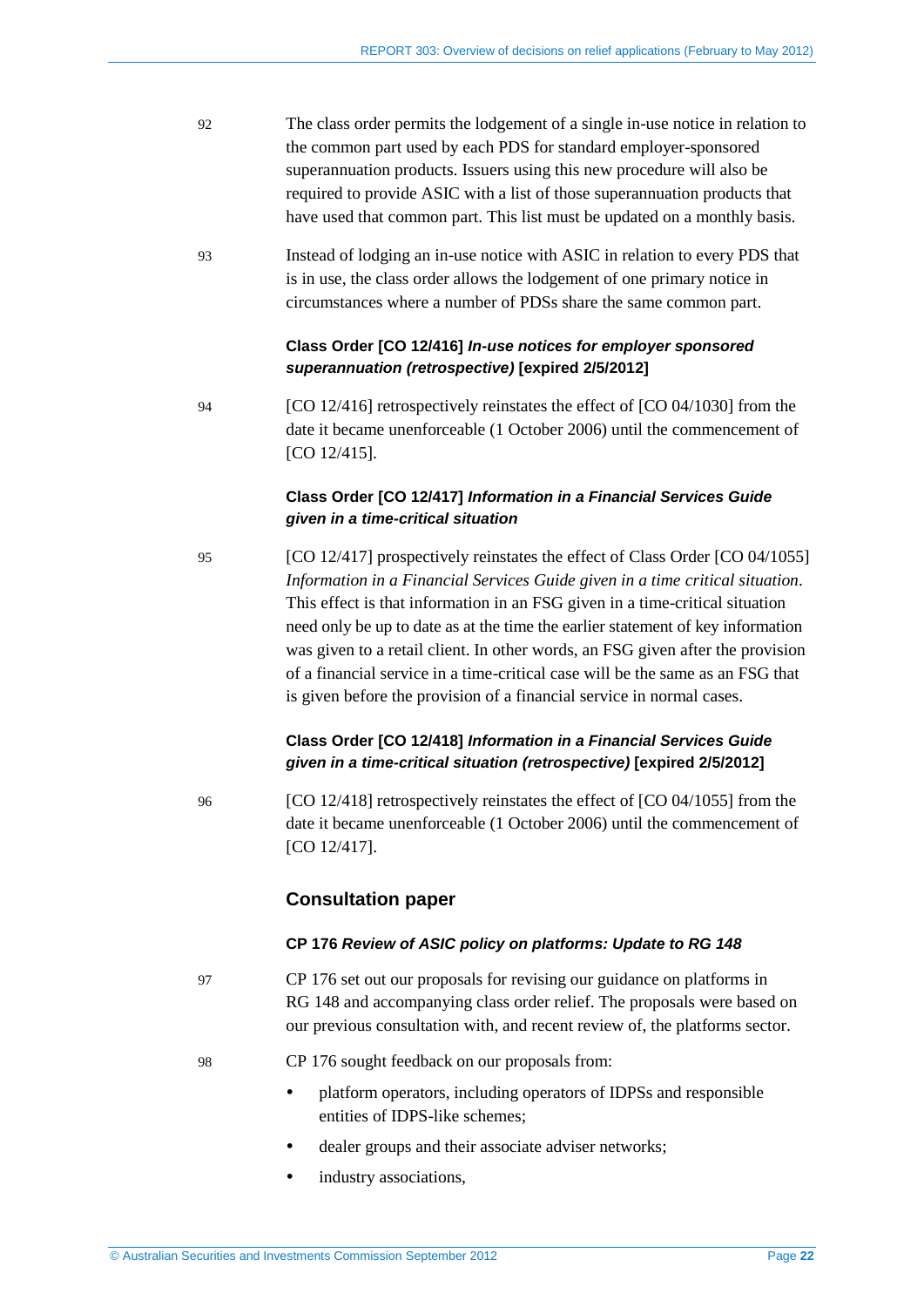- 92 The class order permits the lodgement of a single in-use notice in relation to the common part used by each PDS for standard employer-sponsored superannuation products. Issuers using this new procedure will also be required to provide ASIC with a list of those superannuation products that have used that common part. This list must be updated on a monthly basis.
- 93 Instead of lodging an in-use notice with ASIC in relation to every PDS that is in use, the class order allows the lodgement of one primary notice in circumstances where a number of PDSs share the same common part.

### **Class Order [CO 12/416]** *In-use notices for employer sponsored superannuation (retrospective)* **[expired 2/5/2012]**

94 [CO 12/416] retrospectively reinstates the effect of [CO 04/1030] from the date it became unenforceable (1 October 2006) until the commencement of [CO 12/415].

### **Class Order [CO 12/417]** *Information in a Financial Services Guide given in a time-critical situation*

95 [CO 12/417] prospectively reinstates the effect of Class Order [CO 04/1055] *Information in a Financial Services Guide given in a time critical situation*. This effect is that information in an FSG given in a time-critical situation need only be up to date as at the time the earlier statement of key information was given to a retail client. In other words, an FSG given after the provision of a financial service in a time-critical case will be the same as an FSG that is given before the provision of a financial service in normal cases.

### **Class Order [CO 12/418]** *Information in a Financial Services Guide given in a time-critical situation (retrospective)* **[expired 2/5/2012]**

96 [CO 12/418] retrospectively reinstates the effect of [CO 04/1055] from the date it became unenforceable (1 October 2006) until the commencement of [CO 12/417].

### **Consultation paper**

### **CP 176** *Review of ASIC policy on platforms: Update to RG 148*

- 97 CP 176 set out our proposals for revising our guidance on platforms in RG 148 and accompanying class order relief. The proposals were based on our previous consultation with, and recent review of, the platforms sector.
- 98 CP 176 sought feedback on our proposals from:
	- platform operators, including operators of IDPSs and responsible entities of IDPS-like schemes;
	- dealer groups and their associate adviser networks;
	- industry associations,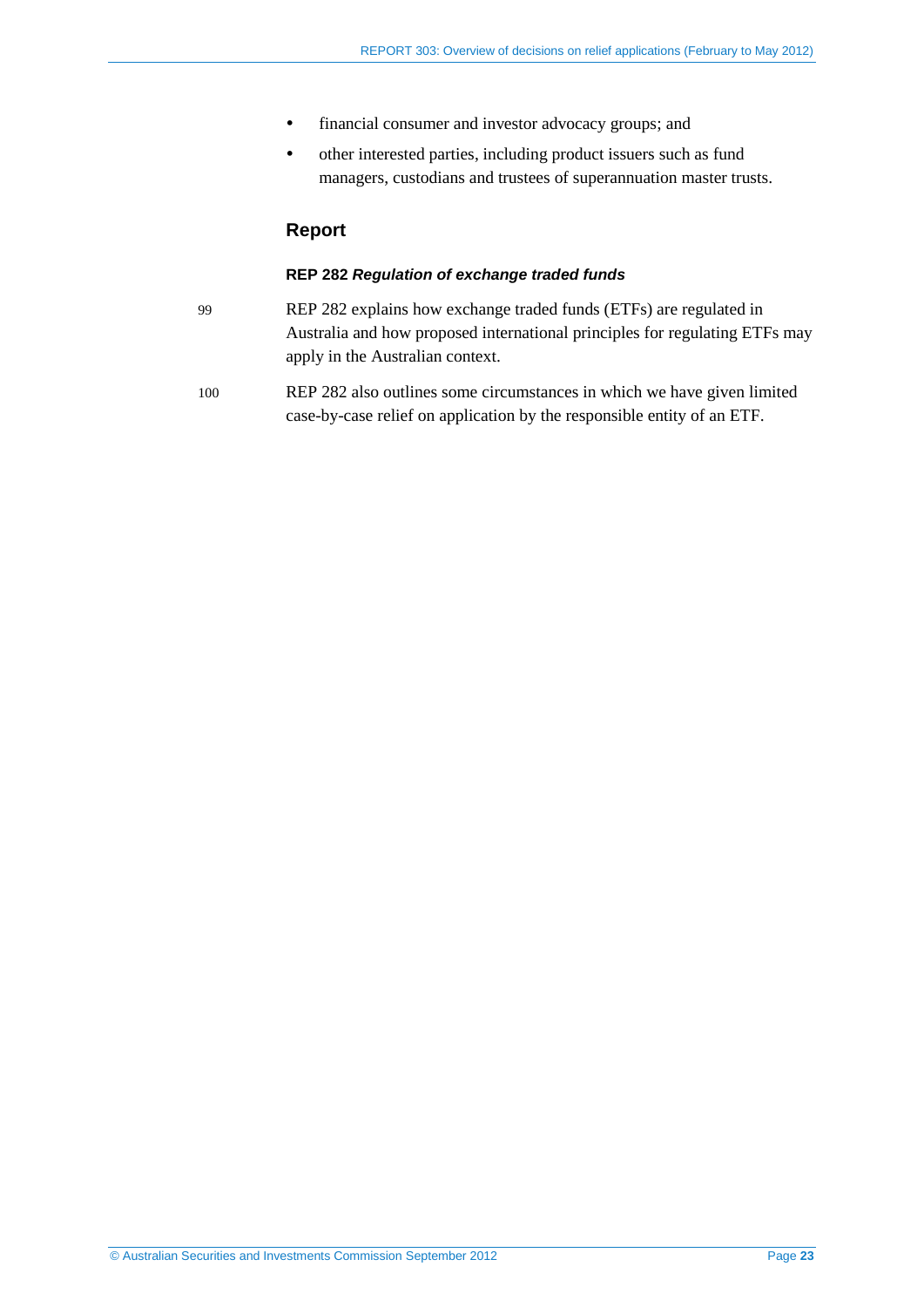- financial consumer and investor advocacy groups; and
- other interested parties, including product issuers such as fund managers, custodians and trustees of superannuation master trusts.

## **Report**

#### **REP 282** *Regulation of exchange traded funds*

- 99 REP 282 explains how exchange traded funds (ETFs) are regulated in Australia and how proposed international principles for regulating ETFs may apply in the Australian context.
- 100 REP 282 also outlines some circumstances in which we have given limited case-by-case relief on application by the responsible entity of an ETF.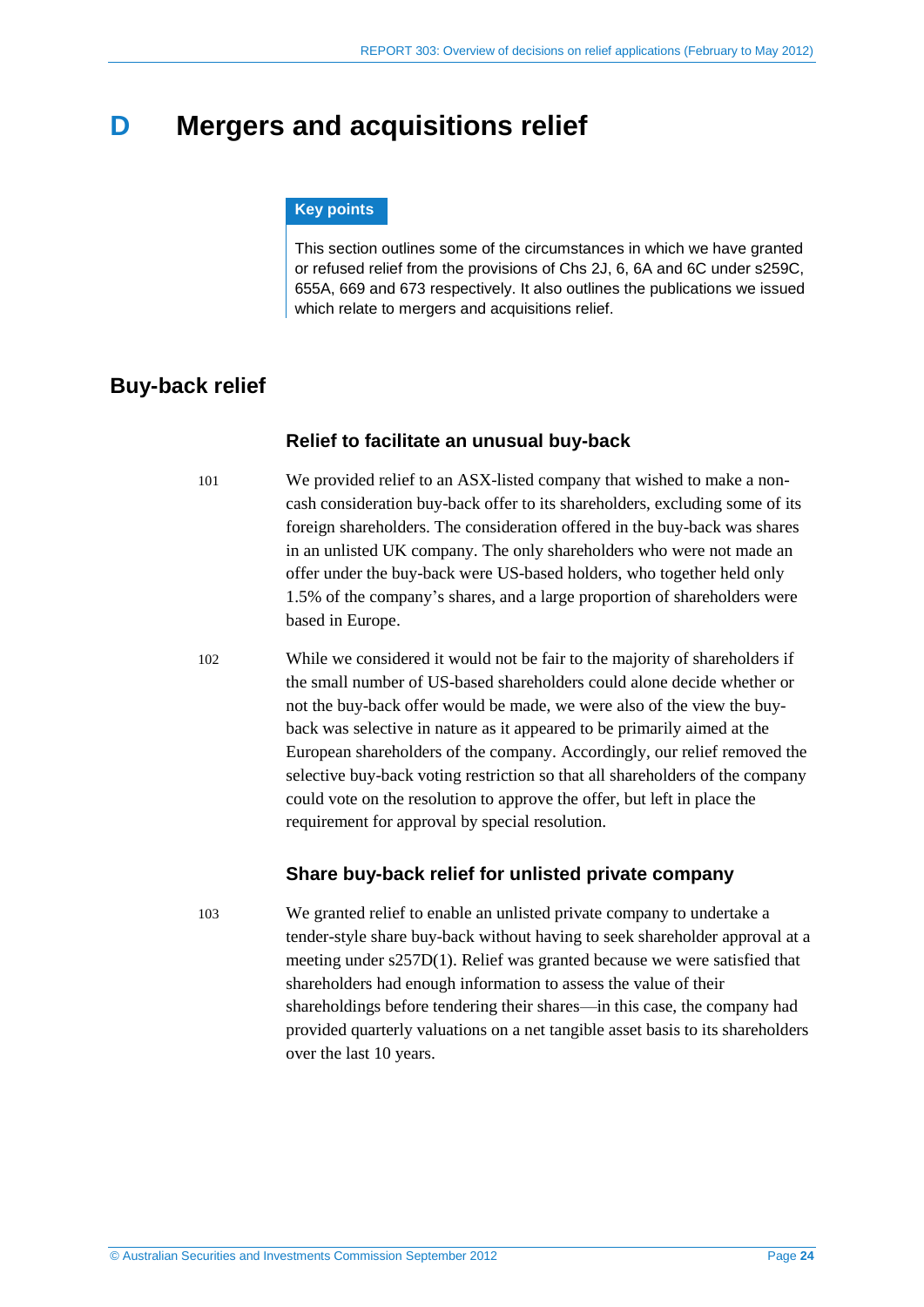# <span id="page-23-0"></span>**D Mergers and acquisitions relief**

#### **Key points**

This section outlines some of the circumstances in which we have granted or refused relief from the provisions of Chs 2J, 6, 6A and 6C under s259C, 655A, 669 and 673 respectively. It also outlines the publications we issued which relate to mergers and acquisitions relief.

# <span id="page-23-1"></span>**Buy-back relief**

### **Relief to facilitate an unusual buy-back**

<span id="page-23-2"></span>101 We provided relief to an ASX-listed company that wished to make a noncash consideration buy-back offer to its shareholders, excluding some of its foreign shareholders. The consideration offered in the buy-back was shares in an unlisted UK company. The only shareholders who were not made an offer under the buy-back were US-based holders, who together held only 1.5% of the company's shares, and a large proportion of shareholders were based in Europe.

102 While we considered it would not be fair to the majority of shareholders if the small number of US-based shareholders could alone decide whether or not the buy-back offer would be made, we were also of the view the buyback was selective in nature as it appeared to be primarily aimed at the European shareholders of the company. Accordingly, our relief removed the selective buy-back voting restriction so that all shareholders of the company could vote on the resolution to approve the offer, but left in place the requirement for approval by special resolution.

### **Share buy-back relief for unlisted private company**

103 We granted relief to enable an unlisted private company to undertake a tender-style share buy-back without having to seek shareholder approval at a meeting under s257D(1). Relief was granted because we were satisfied that shareholders had enough information to assess the value of their shareholdings before tendering their shares—in this case, the company had provided quarterly valuations on a net tangible asset basis to its shareholders over the last 10 years.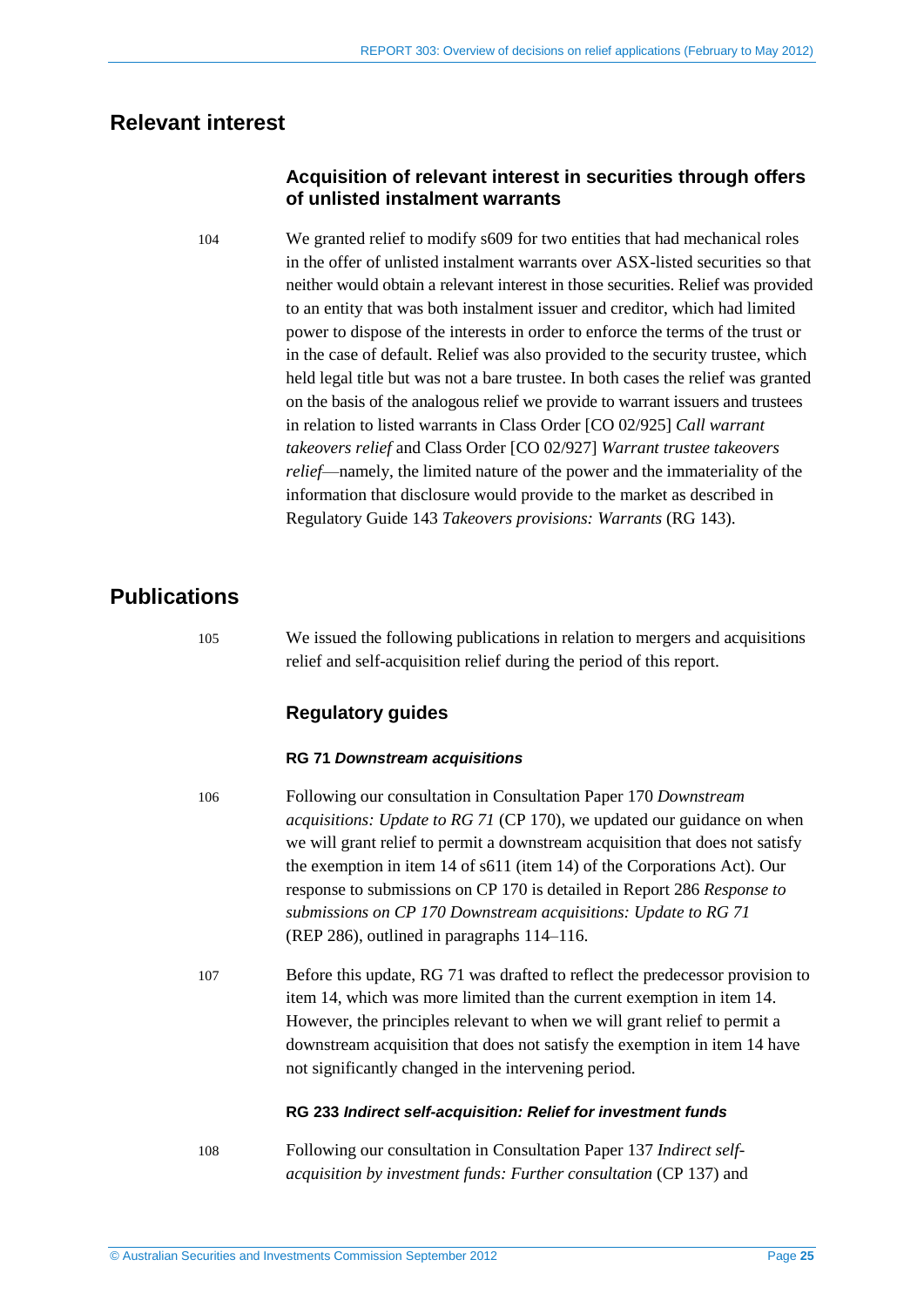# <span id="page-24-2"></span><span id="page-24-0"></span>**Relevant interest**

### **Acquisition of relevant interest in securities through offers of unlisted instalment warrants**

104 We granted relief to modify s609 for two entities that had mechanical roles in the offer of unlisted instalment warrants over ASX-listed securities so that neither would obtain a relevant interest in those securities. Relief was provided to an entity that was both instalment issuer and creditor, which had limited power to dispose of the interests in order to enforce the terms of the trust or in the case of default. Relief was also provided to the security trustee, which held legal title but was not a bare trustee. In both cases the relief was granted on the basis of the analogous relief we provide to warrant issuers and trustees in relation to listed warrants in Class Order [CO 02/925] *Call warrant takeovers relief* and Class Order [CO 02/927] *Warrant trustee takeovers relief*—namely, the limited nature of the power and the immateriality of the information that disclosure would provide to the market as described in Regulatory Guide 143 *Takeovers provisions: Warrants* (RG 143).

# <span id="page-24-1"></span>**Publications**

105 We issued the following publications in relation to mergers and acquisitions relief and self-acquisition relief during the period of this report.

# **Regulatory guides**

### **RG 71** *Downstream acquisitions*

- 106 Following our consultation in Consultation Paper 170 *Downstream acquisitions: Update to RG 71* (CP 170), we updated our guidance on when we will grant relief to permit a downstream acquisition that does not satisfy the exemption in item 14 of s611 (item 14) of the Corporations Act). Our response to submissions on CP 170 is detailed in Report 286 *Response to submissions on CP 170 Downstream acquisitions: Update to RG 71* (REP 286), outlined in paragraphs [114](#page-26-0)[–116.](#page-26-1)
- 107 Before this update, RG 71 was drafted to reflect the predecessor provision to item 14, which was more limited than the current exemption in item 14. However, the principles relevant to when we will grant relief to permit a downstream acquisition that does not satisfy the exemption in item 14 have not significantly changed in the intervening period.

### **RG 233** *Indirect self-acquisition: Relief for investment funds*

108 Following our consultation in Consultation Paper 137 *Indirect selfacquisition by investment funds: Further consultation* (CP 137) and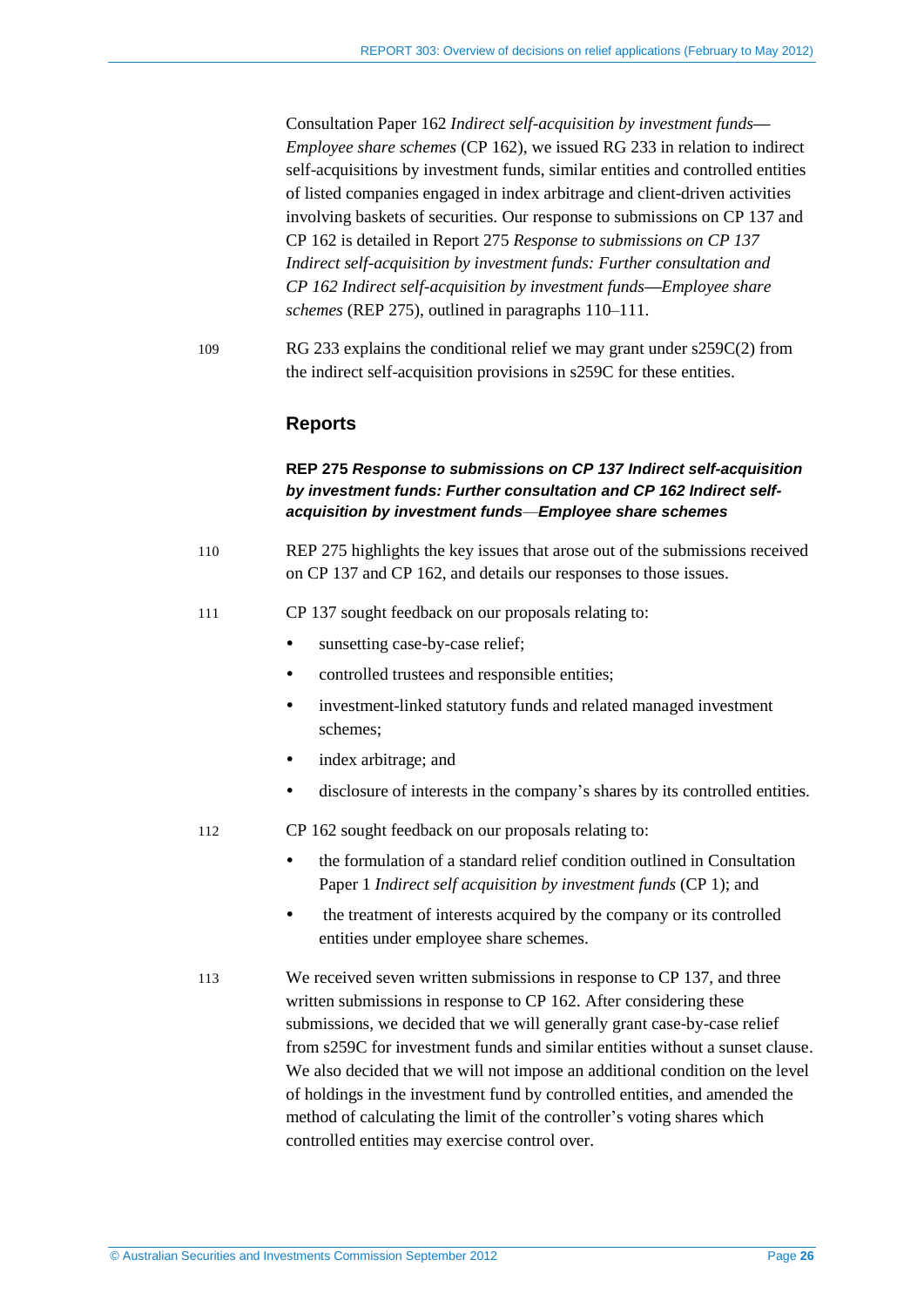Consultation Paper 162 *Indirect self-acquisition by investment funds— Employee share schemes* (CP 162), we issued RG 233 in relation to indirect self-acquisitions by investment funds, similar entities and controlled entities of listed companies engaged in index arbitrage and client-driven activities involving baskets of securities. Our response to submissions on CP 137 and CP 162 is detailed in Report 275 *Response to submissions on CP 137 Indirect self-acquisition by investment funds: Further consultation and CP 162 Indirect self-acquisition by investment funds—Employee share schemes* (REP 275), outlined in paragraphs [110–](#page-25-0)[111.](#page-25-1)

109 RG 233 explains the conditional relief we may grant under s259C(2) from the indirect self-acquisition provisions in s259C for these entities.

### **Reports**

### **REP 275** *Response to submissions on CP 137 Indirect self-acquisition by investment funds: Further consultation and CP 162 Indirect selfacquisition by investment funds—Employee share schemes*

- <span id="page-25-0"></span>110 REP 275 highlights the key issues that arose out of the submissions received on CP 137 and CP 162, and details our responses to those issues.
- <span id="page-25-1"></span>111 CP 137 sought feedback on our proposals relating to:
	- sunsetting case-by-case relief;
	- controlled trustees and responsible entities:
	- investment-linked statutory funds and related managed investment schemes;
	- index arbitrage; and
	- disclosure of interests in the company's shares by its controlled entities.
- 112 CP 162 sought feedback on our proposals relating to:
	- the formulation of a standard relief condition outlined in Consultation Paper 1 *Indirect self acquisition by investment funds* (CP 1); and
	- the treatment of interests acquired by the company or its controlled entities under employee share schemes.

113 We received seven written submissions in response to CP 137, and three written submissions in response to CP 162. After considering these submissions, we decided that we will generally grant case-by-case relief from s259C for investment funds and similar entities without a sunset clause. We also decided that we will not impose an additional condition on the level of holdings in the investment fund by controlled entities, and amended the method of calculating the limit of the controller's voting shares which controlled entities may exercise control over.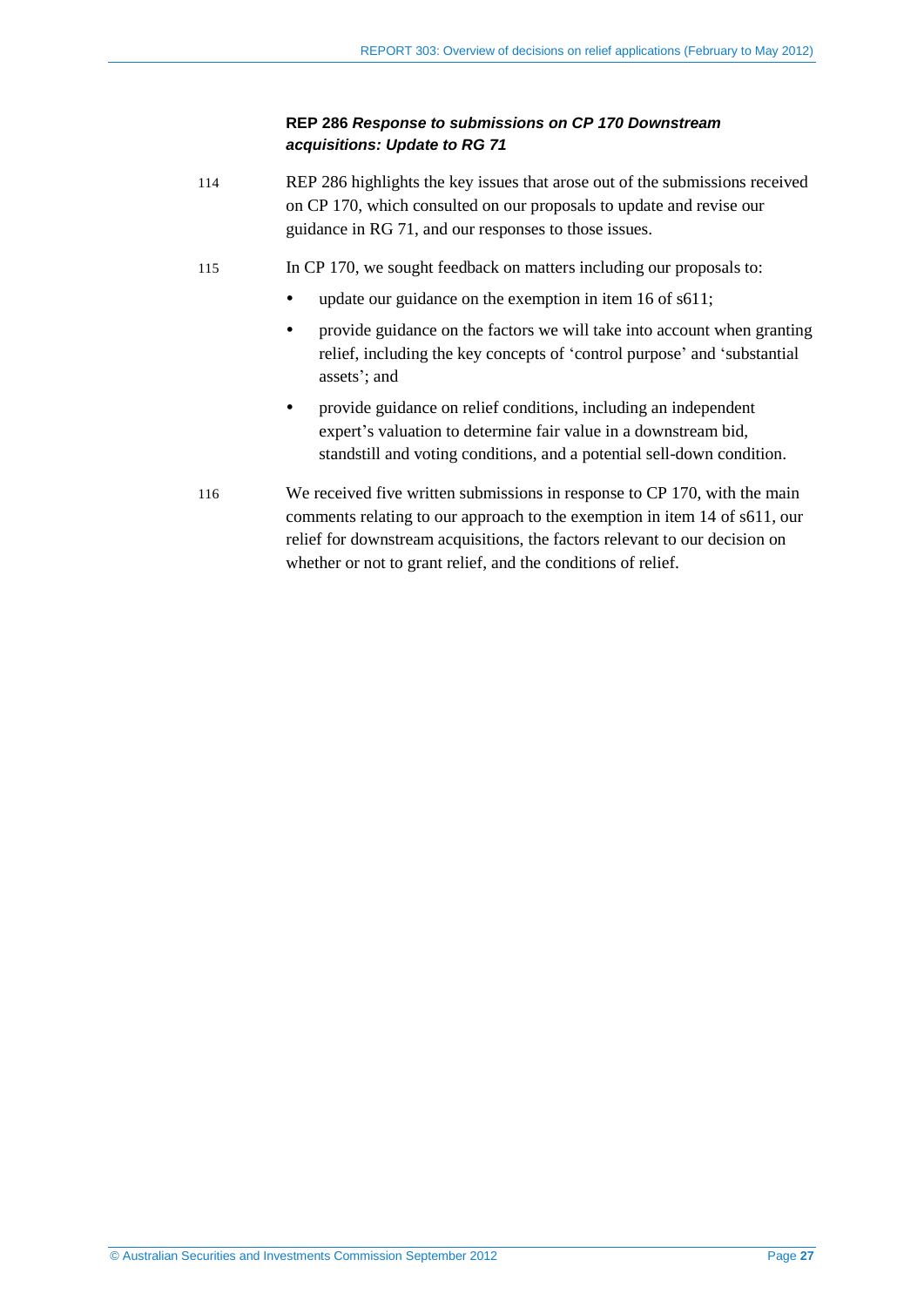### **REP 286** *Response to submissions on CP 170 Downstream acquisitions: Update to RG 71*

- <span id="page-26-0"></span>114 REP 286 highlights the key issues that arose out of the submissions received on CP 170, which consulted on our proposals to update and revise our guidance in RG 71, and our responses to those issues.
- 115 In CP 170, we sought feedback on matters including our proposals to:
	- update our guidance on the exemption in item 16 of s611;
	- provide guidance on the factors we will take into account when granting relief, including the key concepts of 'control purpose' and 'substantial assets'; and
	- provide guidance on relief conditions, including an independent expert's valuation to determine fair value in a downstream bid, standstill and voting conditions, and a potential sell-down condition.
- <span id="page-26-1"></span>116 We received five written submissions in response to CP 170, with the main comments relating to our approach to the exemption in item 14 of s611, our relief for downstream acquisitions, the factors relevant to our decision on whether or not to grant relief, and the conditions of relief.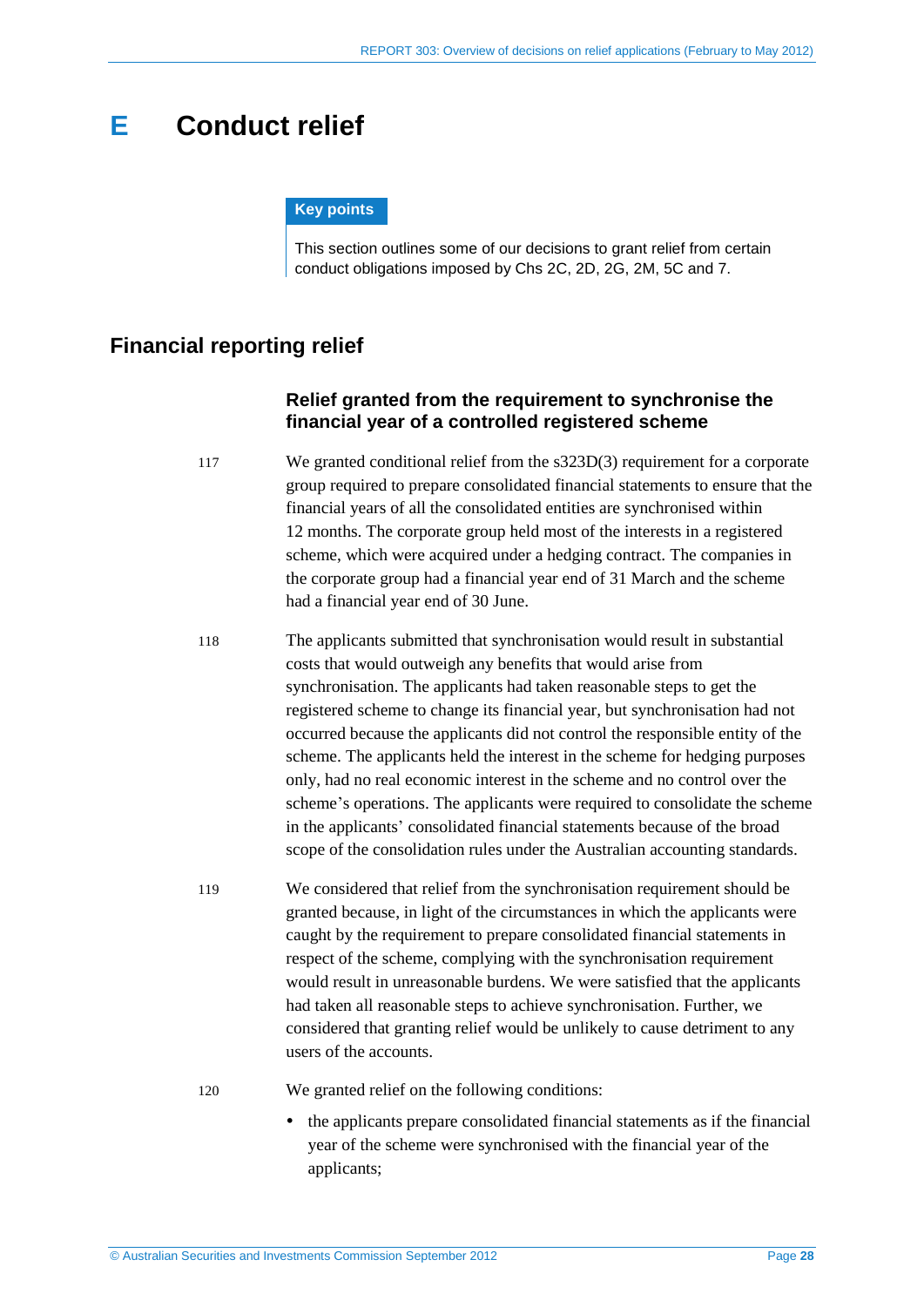# <span id="page-27-0"></span>**E Conduct relief**

#### **Key points**

This section outlines some of our decisions to grant relief from certain conduct obligations imposed by Chs 2C, 2D, 2G, 2M, 5C and 7.

# <span id="page-27-1"></span>**Financial reporting relief**

### **Relief granted from the requirement to synchronise the financial year of a controlled registered scheme**

117 We granted conditional relief from the s323D(3) requirement for a corporate group required to prepare consolidated financial statements to ensure that the financial years of all the consolidated entities are synchronised within 12 months. The corporate group held most of the interests in a registered scheme, which were acquired under a hedging contract. The companies in the corporate group had a financial year end of 31 March and the scheme had a financial year end of 30 June.

- 118 The applicants submitted that synchronisation would result in substantial costs that would outweigh any benefits that would arise from synchronisation. The applicants had taken reasonable steps to get the registered scheme to change its financial year, but synchronisation had not occurred because the applicants did not control the responsible entity of the scheme. The applicants held the interest in the scheme for hedging purposes only, had no real economic interest in the scheme and no control over the scheme's operations. The applicants were required to consolidate the scheme in the applicants' consolidated financial statements because of the broad scope of the consolidation rules under the Australian accounting standards.
- 119 We considered that relief from the synchronisation requirement should be granted because, in light of the circumstances in which the applicants were caught by the requirement to prepare consolidated financial statements in respect of the scheme, complying with the synchronisation requirement would result in unreasonable burdens. We were satisfied that the applicants had taken all reasonable steps to achieve synchronisation. Further, we considered that granting relief would be unlikely to cause detriment to any users of the accounts.
- 

120 We granted relief on the following conditions:

 the applicants prepare consolidated financial statements as if the financial year of the scheme were synchronised with the financial year of the applicants;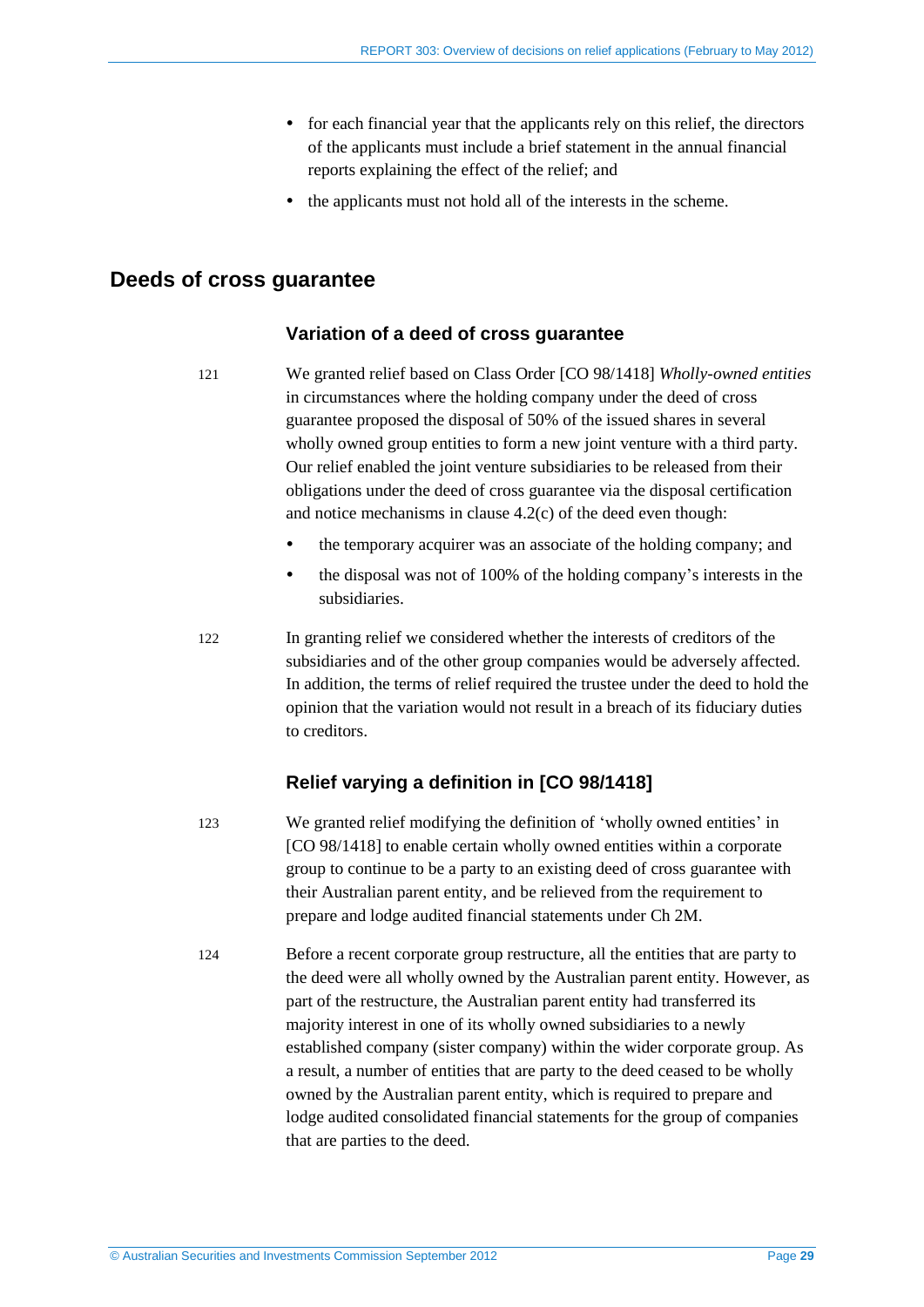- for each financial year that the applicants rely on this relief, the directors of the applicants must include a brief statement in the annual financial reports explaining the effect of the relief; and
- the applicants must not hold all of the interests in the scheme.

# <span id="page-28-0"></span>**Deeds of cross guarantee**

### **Variation of a deed of cross guarantee**

121 We granted relief based on Class Order [CO 98/1418] *Wholly-owned entities*  in circumstances where the holding company under the deed of cross guarantee proposed the disposal of 50% of the issued shares in several wholly owned group entities to form a new joint venture with a third party. Our relief enabled the joint venture subsidiaries to be released from their obligations under the deed of cross guarantee via the disposal certification and notice mechanisms in clause 4.2(c) of the deed even though:

- the temporary acquirer was an associate of the holding company; and
- the disposal was not of 100% of the holding company's interests in the subsidiaries.

122 In granting relief we considered whether the interests of creditors of the subsidiaries and of the other group companies would be adversely affected. In addition, the terms of relief required the trustee under the deed to hold the opinion that the variation would not result in a breach of its fiduciary duties to creditors.

# **Relief varying a definition in [CO 98/1418]**

123 We granted relief modifying the definition of 'wholly owned entities' in [CO 98/1418] to enable certain wholly owned entities within a corporate group to continue to be a party to an existing deed of cross guarantee with their Australian parent entity, and be relieved from the requirement to prepare and lodge audited financial statements under Ch 2M.

124 Before a recent corporate group restructure, all the entities that are party to the deed were all wholly owned by the Australian parent entity. However, as part of the restructure, the Australian parent entity had transferred its majority interest in one of its wholly owned subsidiaries to a newly established company (sister company) within the wider corporate group. As a result, a number of entities that are party to the deed ceased to be wholly owned by the Australian parent entity, which is required to prepare and lodge audited consolidated financial statements for the group of companies that are parties to the deed.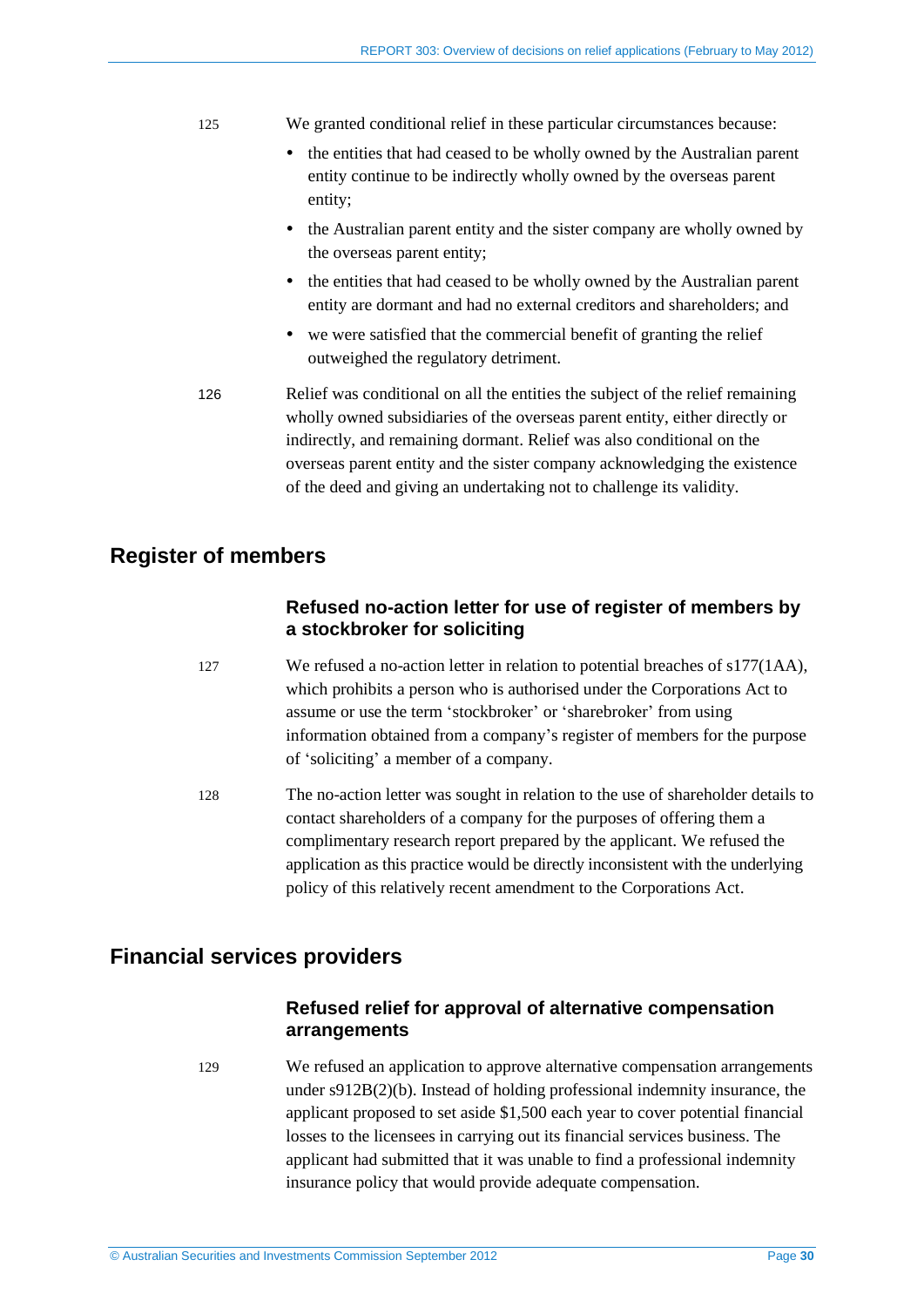#### 125 We granted conditional relief in these particular circumstances because:

- the entities that had ceased to be wholly owned by the Australian parent entity continue to be indirectly wholly owned by the overseas parent entity;
- the Australian parent entity and the sister company are wholly owned by the overseas parent entity;
- the entities that had ceased to be wholly owned by the Australian parent entity are dormant and had no external creditors and shareholders; and
- we were satisfied that the commercial benefit of granting the relief outweighed the regulatory detriment.
- 126 Relief was conditional on all the entities the subject of the relief remaining wholly owned subsidiaries of the overseas parent entity, either directly or indirectly, and remaining dormant. Relief was also conditional on the overseas parent entity and the sister company acknowledging the existence of the deed and giving an undertaking not to challenge its validity.

# <span id="page-29-0"></span>**Register of members**

# **Refused no-action letter for use of register of members by a stockbroker for soliciting**

- 127 We refused a no-action letter in relation to potential breaches of s177(1AA), which prohibits a person who is authorised under the Corporations Act to assume or use the term 'stockbroker' or 'sharebroker' from using information obtained from a company's register of members for the purpose of 'soliciting' a member of a company.
- 128 The no-action letter was sought in relation to the use of shareholder details to contact shareholders of a company for the purposes of offering them a complimentary research report prepared by the applicant. We refused the application as this practice would be directly inconsistent with the underlying policy of this relatively recent amendment to the Corporations Act.

# <span id="page-29-1"></span>**Financial services providers**

### **Refused relief for approval of alternative compensation arrangements**

129 We refused an application to approve alternative compensation arrangements under s912B(2)(b). Instead of holding professional indemnity insurance, the applicant proposed to set aside \$1,500 each year to cover potential financial losses to the licensees in carrying out its financial services business. The applicant had submitted that it was unable to find a professional indemnity insurance policy that would provide adequate compensation.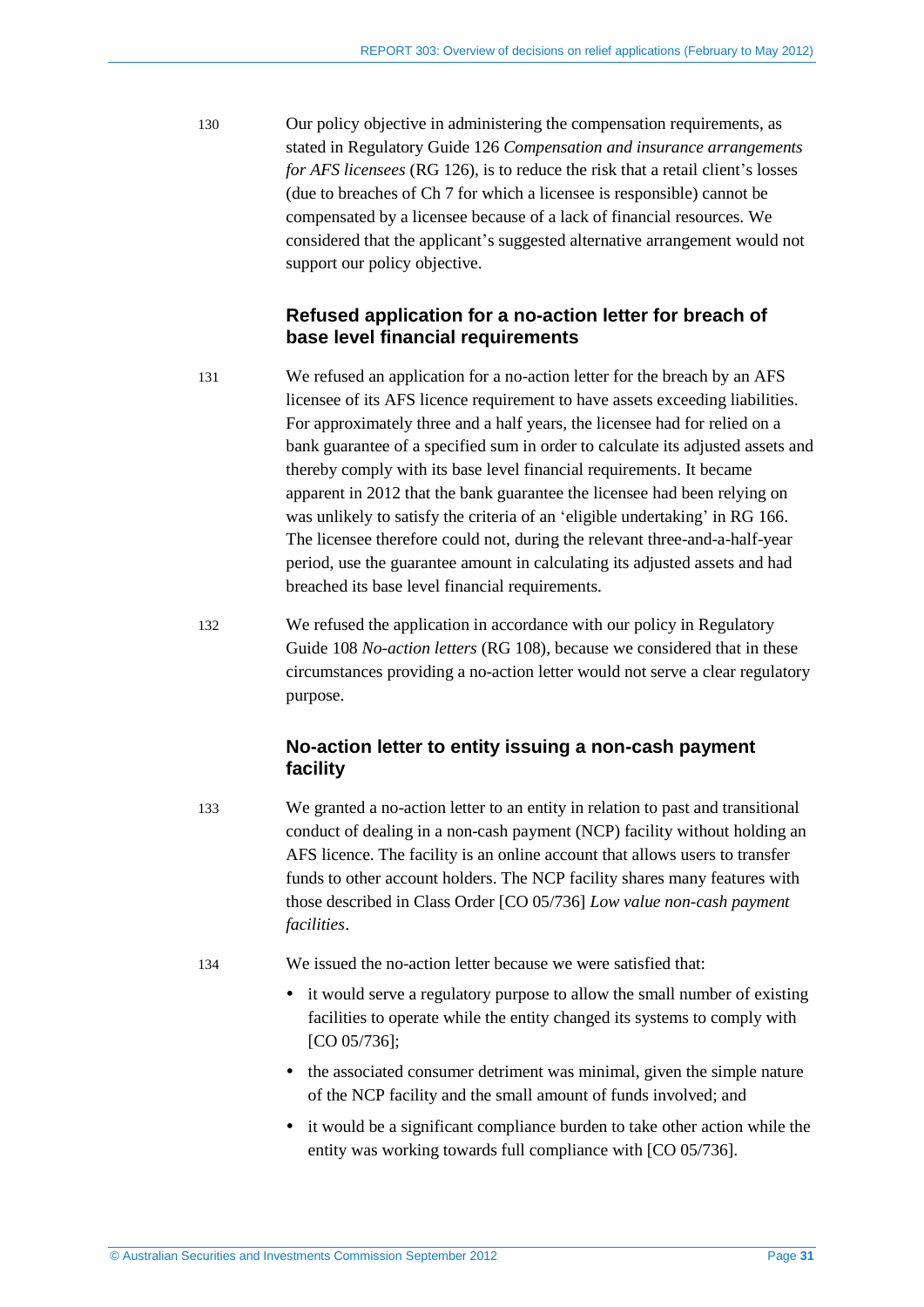130 Our policy objective in administering the compensation requirements, as stated in Regulatory Guide 126 *Compensation and insurance arrangements for AFS licensees* (RG 126), is to reduce the risk that a retail client's losses (due to breaches of Ch 7 for which a licensee is responsible) cannot be compensated by a licensee because of a lack of financial resources. We considered that the applicant's suggested alternative arrangement would not support our policy objective.

# **Refused application for a no-action letter for breach of base level financial requirements**

- 131 We refused an application for a no-action letter for the breach by an AFS licensee of its AFS licence requirement to have assets exceeding liabilities. For approximately three and a half years, the licensee had for relied on a bank guarantee of a specified sum in order to calculate its adjusted assets and thereby comply with its base level financial requirements. It became apparent in 2012 that the bank guarantee the licensee had been relying on was unlikely to satisfy the criteria of an 'eligible undertaking' in RG 166. The licensee therefore could not, during the relevant three-and-a-half-year period, use the guarantee amount in calculating its adjusted assets and had breached its base level financial requirements.
- 132 We refused the application in accordance with our policy in Regulatory Guide 108 *No-action letters* (RG 108), because we considered that in these circumstances providing a no-action letter would not serve a clear regulatory purpose.

# **No-action letter to entity issuing a non-cash payment facility**

133 We granted a no-action letter to an entity in relation to past and transitional conduct of dealing in a non-cash payment (NCP) facility without holding an AFS licence. The facility is an online account that allows users to transfer funds to other account holders. The NCP facility shares many features with those described in Class Order [CO 05/736] *Low value non-cash payment facilities*.

134 We issued the no-action letter because we were satisfied that:

- it would serve a regulatory purpose to allow the small number of existing facilities to operate while the entity changed its systems to comply with [CO 05/736];
- the associated consumer detriment was minimal, given the simple nature of the NCP facility and the small amount of funds involved; and
- it would be a significant compliance burden to take other action while the entity was working towards full compliance with [CO 05/736].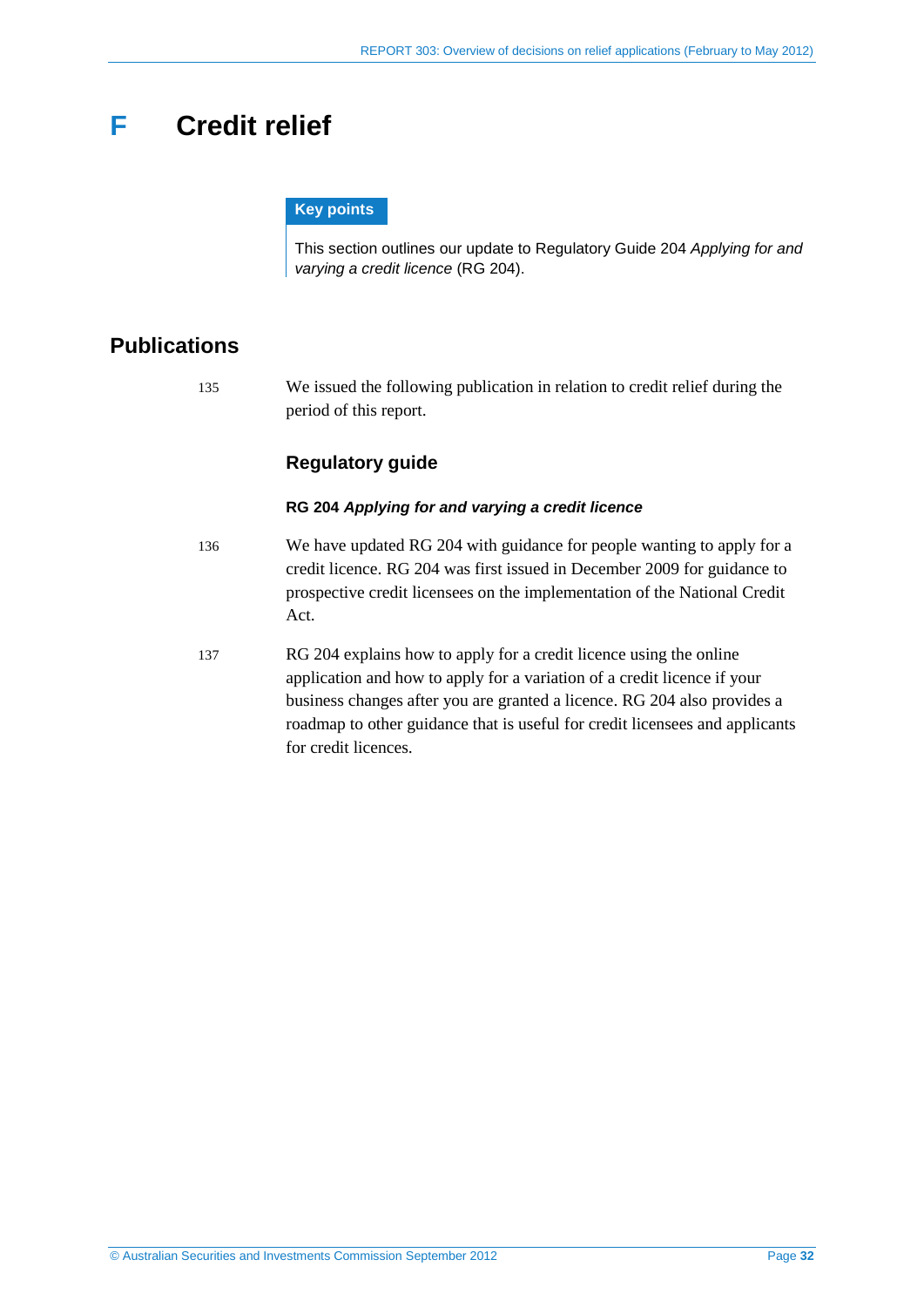# <span id="page-31-0"></span>**F Credit relief**

### **Key points**

This section outlines our update to Regulatory Guide 204 *Applying for and varying a credit licence* (RG 204).

# <span id="page-31-1"></span>**Publications**

135 We issued the following publication in relation to credit relief during the period of this report.

# **Regulatory guide**

### **RG 204** *Applying for and varying a credit licence*

- 136 We have updated RG 204 with guidance for people wanting to apply for a credit licence. RG 204 was first issued in December 2009 for guidance to prospective credit licensees on the implementation of the National Credit Act.
- 137 RG 204 explains how to apply for a credit licence using the online application and how to apply for a variation of a credit licence if your business changes after you are granted a licence. RG 204 also provides a roadmap to other guidance that is useful for credit licensees and applicants for credit licences.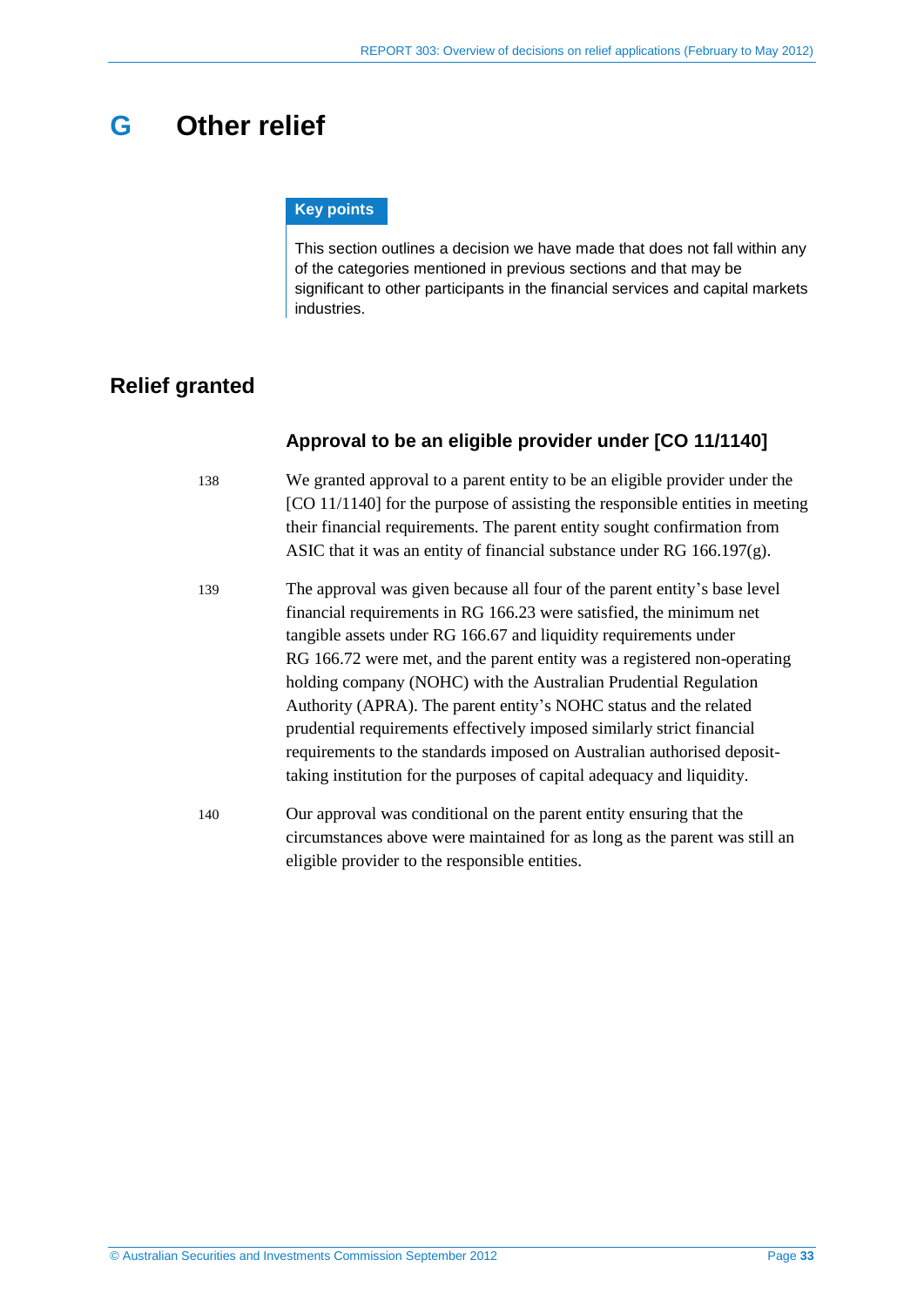# <span id="page-32-0"></span>**G Other relief**

#### **Key points**

This section outlines a decision we have made that does not fall within any of the categories mentioned in previous sections and that may be significant to other participants in the financial services and capital markets industries.

# <span id="page-32-1"></span>**Relief granted**

### **Approval to be an eligible provider under [CO 11/1140]**

- 138 We granted approval to a parent entity to be an eligible provider under the [CO 11/1140] for the purpose of assisting the responsible entities in meeting their financial requirements. The parent entity sought confirmation from ASIC that it was an entity of financial substance under RG 166.197(g).
- 139 The approval was given because all four of the parent entity's base level financial requirements in RG 166.23 were satisfied, the minimum net tangible assets under RG 166.67 and liquidity requirements under RG 166.72 were met, and the parent entity was a registered non-operating holding company (NOHC) with the Australian Prudential Regulation Authority (APRA). The parent entity's NOHC status and the related prudential requirements effectively imposed similarly strict financial requirements to the standards imposed on Australian authorised deposittaking institution for the purposes of capital adequacy and liquidity.
- 140 Our approval was conditional on the parent entity ensuring that the circumstances above were maintained for as long as the parent was still an eligible provider to the responsible entities.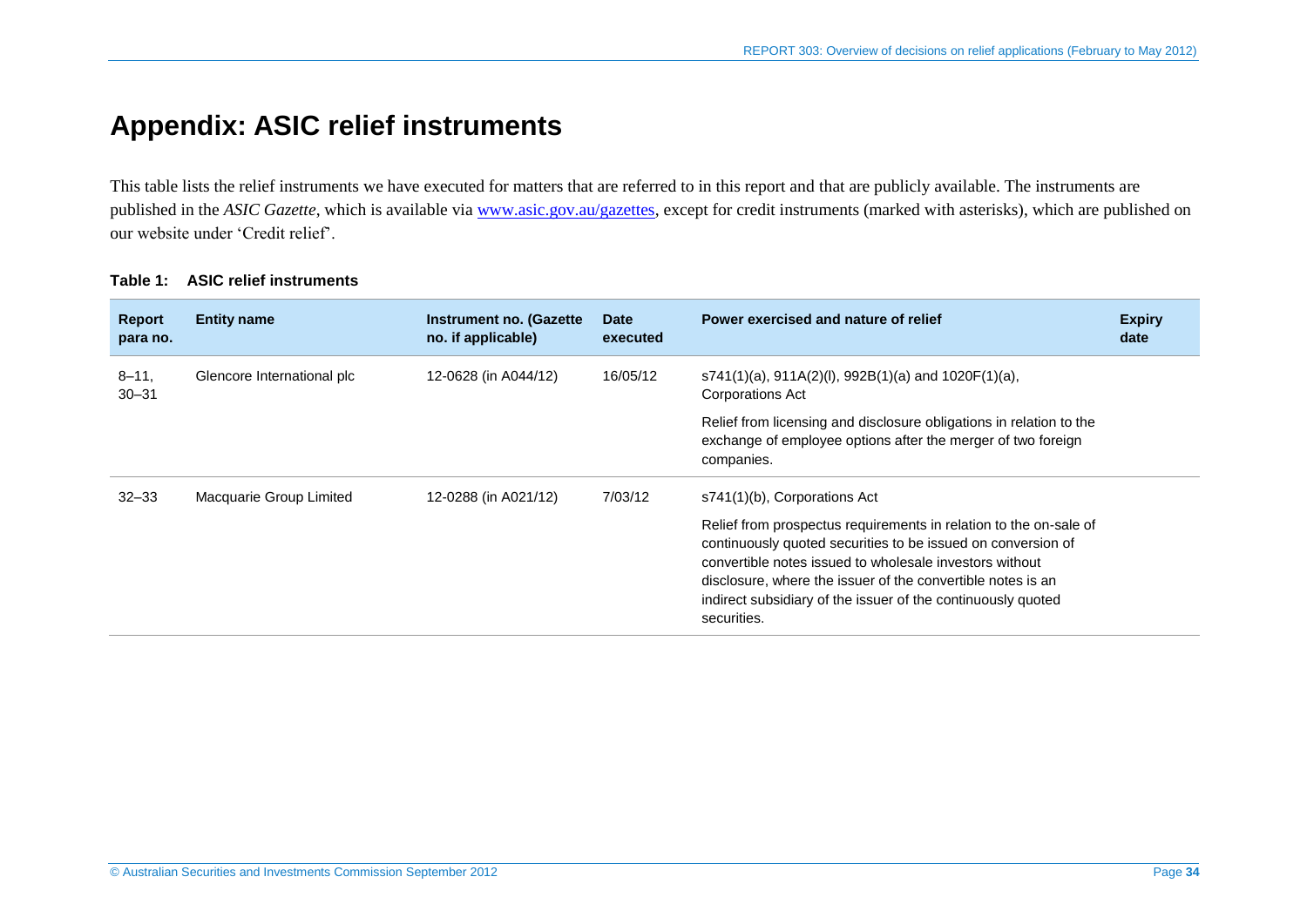# **Appendix: ASIC relief instruments**

This table lists the relief instruments we have executed for matters that are referred to in this report and that are publicly available. The instruments are published in the *ASIC Gazette*, which is available via [www.asic.gov.au/gazettes,](http://www.asic.gov.au/gazettes) except for credit instruments (marked with asterisks), which are published on our website under 'Credit relief'.

<span id="page-33-0"></span>

| <b>Report</b><br>para no. | <b>Entity name</b>         | Instrument no. (Gazette<br>no. if applicable) | <b>Date</b><br>executed | Power exercised and nature of relief                                                                                                                                                                                                                                                                                                                                       | <b>Expiry</b><br>date |
|---------------------------|----------------------------|-----------------------------------------------|-------------------------|----------------------------------------------------------------------------------------------------------------------------------------------------------------------------------------------------------------------------------------------------------------------------------------------------------------------------------------------------------------------------|-----------------------|
| $8 - 11$<br>$30 - 31$     | Glencore International plc | 12-0628 (in A044/12)                          | 16/05/12                | $s741(1)(a)$ , 911A(2)(l), 992B(1)(a) and 1020F(1)(a),<br>Corporations Act                                                                                                                                                                                                                                                                                                 |                       |
|                           |                            |                                               |                         | Relief from licensing and disclosure obligations in relation to the<br>exchange of employee options after the merger of two foreign<br>companies.                                                                                                                                                                                                                          |                       |
| $32 - 33$                 | Macquarie Group Limited    | 12-0288 (in A021/12)                          | 7/03/12                 | s741(1)(b), Corporations Act<br>Relief from prospectus requirements in relation to the on-sale of<br>continuously quoted securities to be issued on conversion of<br>convertible notes issued to wholesale investors without<br>disclosure, where the issuer of the convertible notes is an<br>indirect subsidiary of the issuer of the continuously quoted<br>securities. |                       |

### **Table 1: ASIC relief instruments**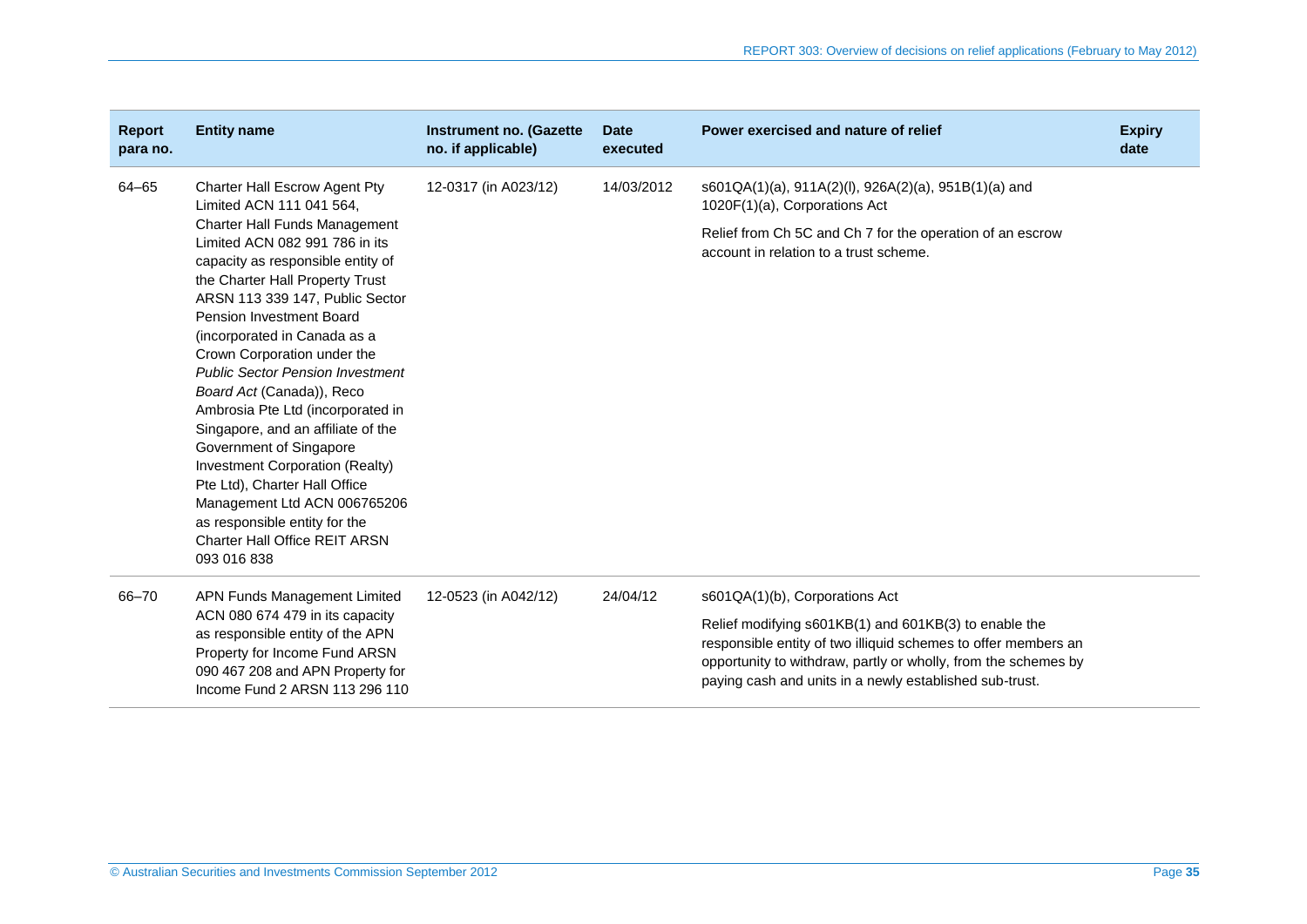| <b>Report</b><br>para no. | <b>Entity name</b>                                                                                                                                                                                                                                                                                                                                                                                                                                                                                                                                                                                                                                     | <b>Instrument no. (Gazette</b><br>no. if applicable) | <b>Date</b><br>executed | Power exercised and nature of relief                                                                                                                                                                                                                 | <b>Expiry</b><br>date |
|---------------------------|--------------------------------------------------------------------------------------------------------------------------------------------------------------------------------------------------------------------------------------------------------------------------------------------------------------------------------------------------------------------------------------------------------------------------------------------------------------------------------------------------------------------------------------------------------------------------------------------------------------------------------------------------------|------------------------------------------------------|-------------------------|------------------------------------------------------------------------------------------------------------------------------------------------------------------------------------------------------------------------------------------------------|-----------------------|
| 64-65                     | Charter Hall Escrow Agent Pty<br>Limited ACN 111 041 564,                                                                                                                                                                                                                                                                                                                                                                                                                                                                                                                                                                                              | 12-0317 (in A023/12)                                 | 14/03/2012              | s601QA(1)(a), 911A(2)(l), 926A(2)(a), 951B(1)(a) and<br>1020F(1)(a), Corporations Act                                                                                                                                                                |                       |
|                           | <b>Charter Hall Funds Management</b><br>Limited ACN 082 991 786 in its<br>capacity as responsible entity of<br>the Charter Hall Property Trust<br>ARSN 113 339 147, Public Sector<br>Pension Investment Board<br>(incorporated in Canada as a<br>Crown Corporation under the<br><b>Public Sector Pension Investment</b><br>Board Act (Canada)), Reco<br>Ambrosia Pte Ltd (incorporated in<br>Singapore, and an affiliate of the<br>Government of Singapore<br>Investment Corporation (Realty)<br>Pte Ltd), Charter Hall Office<br>Management Ltd ACN 006765206<br>as responsible entity for the<br><b>Charter Hall Office REIT ARSN</b><br>093 016 838 |                                                      |                         | Relief from Ch 5C and Ch 7 for the operation of an escrow<br>account in relation to a trust scheme.                                                                                                                                                  |                       |
| 66-70                     | APN Funds Management Limited<br>ACN 080 674 479 in its capacity<br>as responsible entity of the APN<br>Property for Income Fund ARSN<br>090 467 208 and APN Property for<br>Income Fund 2 ARSN 113 296 110                                                                                                                                                                                                                                                                                                                                                                                                                                             | 12-0523 (in A042/12)                                 | 24/04/12                | s601QA(1)(b), Corporations Act                                                                                                                                                                                                                       |                       |
|                           |                                                                                                                                                                                                                                                                                                                                                                                                                                                                                                                                                                                                                                                        |                                                      |                         | Relief modifying s601KB(1) and 601KB(3) to enable the<br>responsible entity of two illiquid schemes to offer members an<br>opportunity to withdraw, partly or wholly, from the schemes by<br>paying cash and units in a newly established sub-trust. |                       |